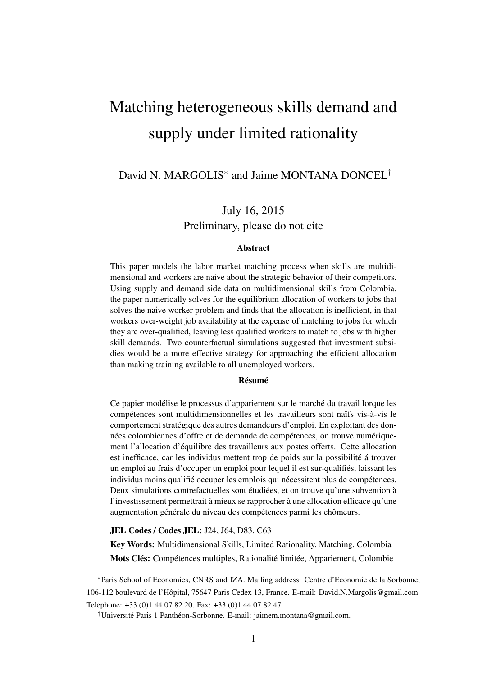# <span id="page-0-0"></span>Matching heterogeneous skills demand and supply under limited rationality

### David N. MARGOLIS<sup>\*</sup> and Jaime MONTANA DONCEL<sup>†</sup>

### July 16, 2015 Preliminary, please do not cite

#### Abstract

This paper models the labor market matching process when skills are multidimensional and workers are naive about the strategic behavior of their competitors. Using supply and demand side data on multidimensional skills from Colombia, the paper numerically solves for the equilibrium allocation of workers to jobs that solves the naive worker problem and finds that the allocation is inefficient, in that workers over-weight job availability at the expense of matching to jobs for which they are over-qualified, leaving less qualified workers to match to jobs with higher skill demands. Two counterfactual simulations suggested that investment subsidies would be a more effective strategy for approaching the efficient allocation than making training available to all unemployed workers.

#### Résumé

Ce papier modélise le processus d'appariement sur le marché du travail lorque les compétences sont multidimensionnelles et les travailleurs sont naïfs vis-à-vis le comportement stratégique des autres demandeurs d'emploi. En exploitant des données colombiennes d'offre et de demande de compétences, on trouve numériquement l'allocation d'équilibre des travailleurs aux postes offerts. Cette allocation est inefficace, car les individus mettent trop de poids sur la possibilité á trouver un emploi au frais d'occuper un emploi pour lequel il est sur-qualifiés, laissant les individus moins qualifié occuper les emplois qui nécessitent plus de compétences. Deux simulations contrefactuelles sont étudiées, et on trouve qu'une subvention à l'investissement permettrait à mieux se rapprocher à une allocation efficace qu'une augmentation générale du niveau des compétences parmi les chômeurs.

JEL Codes / Codes JEL: J24, J64, D83, C63

Key Words: Multidimensional Skills, Limited Rationality, Matching, Colombia

Mots Clés: Compétences multiples, Rationalité limitée, Appariement, Colombie

<sup>∗</sup>Paris School of Economics, CNRS and IZA. Mailing address: Centre d'Economie de la Sorbonne, 106-112 boulevard de l'Hôpital, 75647 Paris Cedex 13, France. E-mail: David.N.Margolis@gmail.com. Telephone: +33 (0)1 44 07 82 20. Fax: +33 (0)1 44 07 82 47.

<sup>†</sup>Université Paris 1 Panthéon-Sorbonne. E-mail: jaimem.montana@gmail.com.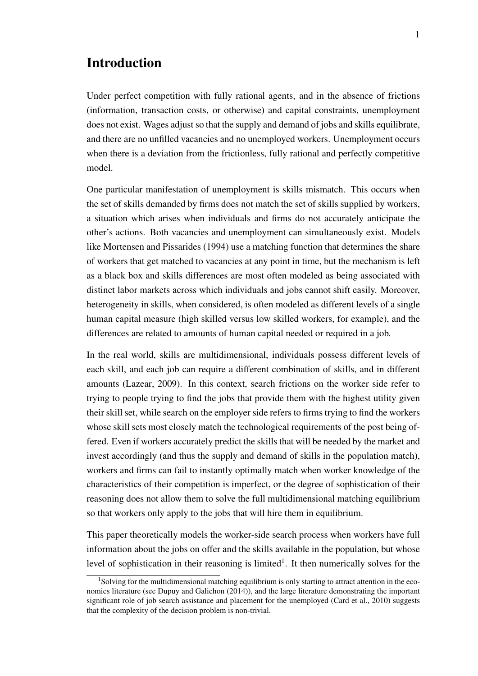### Introduction

Under perfect competition with fully rational agents, and in the absence of frictions (information, transaction costs, or otherwise) and capital constraints, unemployment does not exist. Wages adjust so that the supply and demand of jobs and skills equilibrate, and there are no unfilled vacancies and no unemployed workers. Unemployment occurs when there is a deviation from the frictionless, fully rational and perfectly competitive model.

One particular manifestation of unemployment is skills mismatch. This occurs when the set of skills demanded by firms does not match the set of skills supplied by workers, a situation which arises when individuals and firms do not accurately anticipate the other's actions. Both vacancies and unemployment can simultaneously exist. Models like [Mortensen and Pissarides](#page-31-0) [\(1994\)](#page-31-0) use a matching function that determines the share of workers that get matched to vacancies at any point in time, but the mechanism is left as a black box and skills differences are most often modeled as being associated with distinct labor markets across which individuals and jobs cannot shift easily. Moreover, heterogeneity in skills, when considered, is often modeled as different levels of a single human capital measure (high skilled versus low skilled workers, for example), and the differences are related to amounts of human capital needed or required in a job.

In the real world, skills are multidimensional, individuals possess different levels of each skill, and each job can require a different combination of skills, and in different amounts [\(Lazear,](#page-30-0) [2009\)](#page-30-0). In this context, search frictions on the worker side refer to trying to people trying to find the jobs that provide them with the highest utility given their skill set, while search on the employer side refers to firms trying to find the workers whose skill sets most closely match the technological requirements of the post being offered. Even if workers accurately predict the skills that will be needed by the market and invest accordingly (and thus the supply and demand of skills in the population match), workers and firms can fail to instantly optimally match when worker knowledge of the characteristics of their competition is imperfect, or the degree of sophistication of their reasoning does not allow them to solve the full multidimensional matching equilibrium so that workers only apply to the jobs that will hire them in equilibrium.

This paper theoretically models the worker-side search process when workers have full information about the jobs on offer and the skills available in the population, but whose level of sophistication in their reasoning is limited<sup>[1](#page-0-0)</sup>. It then numerically solves for the

<sup>&</sup>lt;sup>1</sup>Solving for the multidimensional matching equilibrium is only starting to attract attention in the economics literature (see [Dupuy and Galichon](#page-30-1) [\(2014\)](#page-30-1)), and the large literature demonstrating the important significant role of job search assistance and placement for the unemployed [\(Card et al.,](#page-30-2) [2010\)](#page-30-2) suggests that the complexity of the decision problem is non-trivial.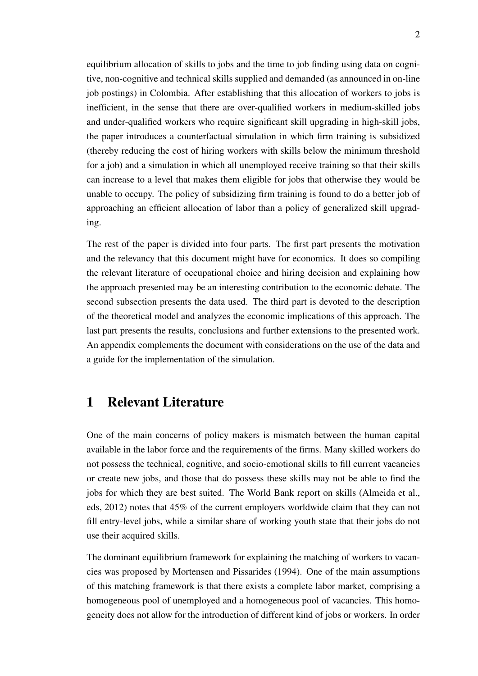equilibrium allocation of skills to jobs and the time to job finding using data on cognitive, non-cognitive and technical skills supplied and demanded (as announced in on-line job postings) in Colombia. After establishing that this allocation of workers to jobs is inefficient, in the sense that there are over-qualified workers in medium-skilled jobs and under-qualified workers who require significant skill upgrading in high-skill jobs, the paper introduces a counterfactual simulation in which firm training is subsidized (thereby reducing the cost of hiring workers with skills below the minimum threshold for a job) and a simulation in which all unemployed receive training so that their skills can increase to a level that makes them eligible for jobs that otherwise they would be unable to occupy. The policy of subsidizing firm training is found to do a better job of approaching an efficient allocation of labor than a policy of generalized skill upgrading.

The rest of the paper is divided into four parts. The first part presents the motivation and the relevancy that this document might have for economics. It does so compiling the relevant literature of occupational choice and hiring decision and explaining how the approach presented may be an interesting contribution to the economic debate. The second subsection presents the data used. The third part is devoted to the description of the theoretical model and analyzes the economic implications of this approach. The last part presents the results, conclusions and further extensions to the presented work. An appendix complements the document with considerations on the use of the data and a guide for the implementation of the simulation.

### 1 Relevant Literature

One of the main concerns of policy makers is mismatch between the human capital available in the labor force and the requirements of the firms. Many skilled workers do not possess the technical, cognitive, and socio-emotional skills to fill current vacancies or create new jobs, and those that do possess these skills may not be able to find the jobs for which they are best suited. The World Bank report on skills [\(Almeida et al.,](#page-30-3) [eds,](#page-30-3) [2012\)](#page-30-3) notes that 45% of the current employers worldwide claim that they can not fill entry-level jobs, while a similar share of working youth state that their jobs do not use their acquired skills.

The dominant equilibrium framework for explaining the matching of workers to vacancies was proposed by [Mortensen and Pissarides](#page-31-0) [\(1994\)](#page-31-0). One of the main assumptions of this matching framework is that there exists a complete labor market, comprising a homogeneous pool of unemployed and a homogeneous pool of vacancies. This homogeneity does not allow for the introduction of different kind of jobs or workers. In order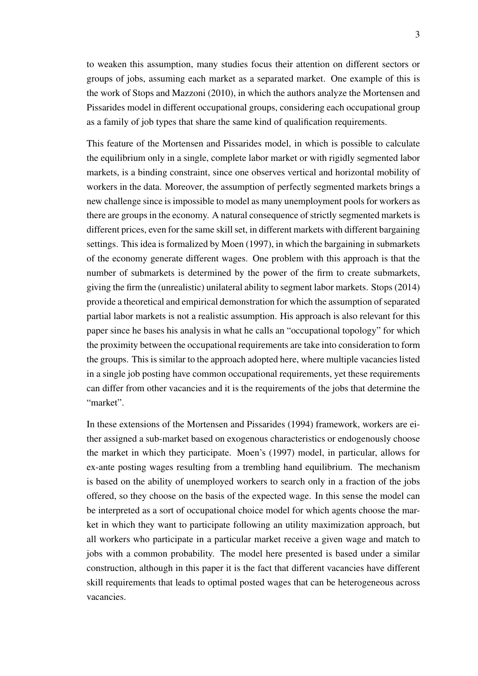to weaken this assumption, many studies focus their attention on different sectors or groups of jobs, assuming each market as a separated market. One example of this is the work of [Stops and Mazzoni](#page-31-1) [\(2010\)](#page-31-1), in which the authors analyze the [Mortensen and](#page-31-0) [Pissarides](#page-31-0) model in different occupational groups, considering each occupational group as a family of job types that share the same kind of qualification requirements.

This feature of the [Mortensen and Pissarides](#page-31-0) model, in which is possible to calculate the equilibrium only in a single, complete labor market or with rigidly segmented labor markets, is a binding constraint, since one observes vertical and horizontal mobility of workers in the data. Moreover, the assumption of perfectly segmented markets brings a new challenge since is impossible to model as many unemployment pools for workers as there are groups in the economy. A natural consequence of strictly segmented markets is different prices, even for the same skill set, in different markets with different bargaining settings. This idea is formalized by [Moen](#page-30-4) [\(1997\)](#page-30-4), in which the bargaining in submarkets of the economy generate different wages. One problem with this approach is that the number of submarkets is determined by the power of the firm to create submarkets, giving the firm the (unrealistic) unilateral ability to segment labor markets. [Stops](#page-31-2) [\(2014\)](#page-31-2) provide a theoretical and empirical demonstration for which the assumption of separated partial labor markets is not a realistic assumption. His approach is also relevant for this paper since he bases his analysis in what he calls an "occupational topology" for which the proximity between the occupational requirements are take into consideration to form the groups. This is similar to the approach adopted here, where multiple vacancies listed in a single job posting have common occupational requirements, yet these requirements can differ from other vacancies and it is the requirements of the jobs that determine the "market".

In these extensions of the [Mortensen and Pissarides](#page-31-0) [\(1994\)](#page-31-0) framework, workers are either assigned a sub-market based on exogenous characteristics or endogenously choose the market in which they participate. [Moen'](#page-30-4)s [\(1997\)](#page-30-4) model, in particular, allows for ex-ante posting wages resulting from a trembling hand equilibrium. The mechanism is based on the ability of unemployed workers to search only in a fraction of the jobs offered, so they choose on the basis of the expected wage. In this sense the model can be interpreted as a sort of occupational choice model for which agents choose the market in which they want to participate following an utility maximization approach, but all workers who participate in a particular market receive a given wage and match to jobs with a common probability. The model here presented is based under a similar construction, although in this paper it is the fact that different vacancies have different skill requirements that leads to optimal posted wages that can be heterogeneous across vacancies.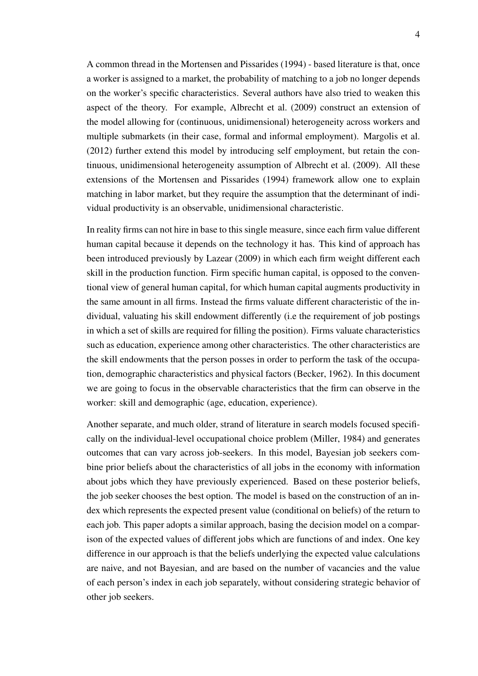A common thread in the [Mortensen and Pissarides](#page-31-0) [\(1994\)](#page-31-0) - based literature is that, once a worker is assigned to a market, the probability of matching to a job no longer depends on the worker's specific characteristics. Several authors have also tried to weaken this aspect of the theory. For example, [Albrecht et al.](#page-30-5) [\(2009\)](#page-30-5) construct an extension of the model allowing for (continuous, unidimensional) heterogeneity across workers and multiple submarkets (in their case, formal and informal employment). [Margolis et al.](#page-30-6) [\(2012\)](#page-30-6) further extend this model by introducing self employment, but retain the continuous, unidimensional heterogeneity assumption of [Albrecht et al.](#page-30-5) [\(2009\)](#page-30-5). All these extensions of the [Mortensen and Pissarides](#page-31-0) [\(1994\)](#page-31-0) framework allow one to explain matching in labor market, but they require the assumption that the determinant of individual productivity is an observable, unidimensional characteristic.

In reality firms can not hire in base to this single measure, since each firm value different human capital because it depends on the technology it has. This kind of approach has been introduced previously by [Lazear](#page-30-0) [\(2009\)](#page-30-0) in which each firm weight different each skill in the production function. Firm specific human capital, is opposed to the conventional view of general human capital, for which human capital augments productivity in the same amount in all firms. Instead the firms valuate different characteristic of the individual, valuating his skill endowment differently (i.e the requirement of job postings in which a set of skills are required for filling the position). Firms valuate characteristics such as education, experience among other characteristics. The other characteristics are the skill endowments that the person posses in order to perform the task of the occupation, demographic characteristics and physical factors [\(Becker,](#page-30-7) [1962\)](#page-30-7). In this document we are going to focus in the observable characteristics that the firm can observe in the worker: skill and demographic (age, education, experience).

Another separate, and much older, strand of literature in search models focused specifically on the individual-level occupational choice problem [\(Miller,](#page-30-8) [1984\)](#page-30-8) and generates outcomes that can vary across job-seekers. In this model, Bayesian job seekers combine prior beliefs about the characteristics of all jobs in the economy with information about jobs which they have previously experienced. Based on these posterior beliefs, the job seeker chooses the best option. The model is based on the construction of an index which represents the expected present value (conditional on beliefs) of the return to each job. This paper adopts a similar approach, basing the decision model on a comparison of the expected values of different jobs which are functions of and index. One key difference in our approach is that the beliefs underlying the expected value calculations are naive, and not Bayesian, and are based on the number of vacancies and the value of each person's index in each job separately, without considering strategic behavior of other job seekers.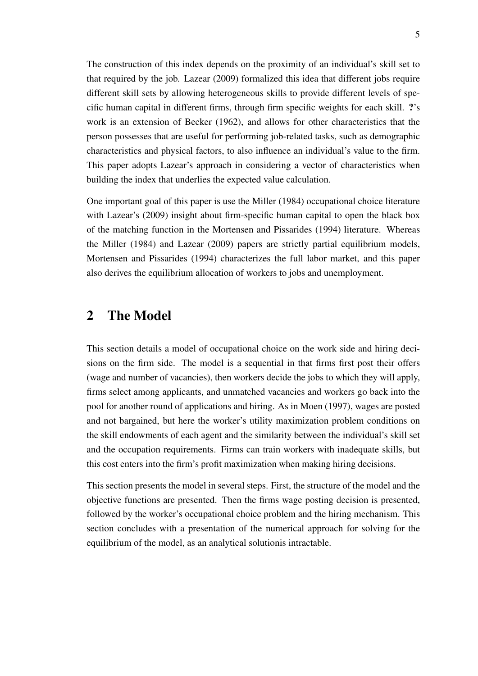The construction of this index depends on the proximity of an individual's skill set to that required by the job. [Lazear](#page-30-0) [\(2009\)](#page-30-0) formalized this idea that different jobs require different skill sets by allowing heterogeneous skills to provide different levels of specific human capital in different firms, through firm specific weights for each skill. ?'s work is an extension of [Becker](#page-30-7) [\(1962\)](#page-30-7), and allows for other characteristics that the person possesses that are useful for performing job-related tasks, such as demographic characteristics and physical factors, to also influence an individual's value to the firm. This paper adopts [Lazear'](#page-30-0)s approach in considering a vector of characteristics when building the index that underlies the expected value calculation.

One important goal of this paper is use the [Miller](#page-30-8) [\(1984\)](#page-30-8) occupational choice literature with [Lazear'](#page-30-0)s [\(2009\)](#page-30-0) insight about firm-specific human capital to open the black box of the matching function in the [Mortensen and Pissarides](#page-31-0) [\(1994\)](#page-31-0) literature. Whereas the [Miller](#page-30-8) [\(1984\)](#page-30-8) and [Lazear](#page-30-0) [\(2009\)](#page-30-0) papers are strictly partial equilibrium models, [Mortensen and Pissarides](#page-31-0) [\(1994\)](#page-31-0) characterizes the full labor market, and this paper also derives the equilibrium allocation of workers to jobs and unemployment.

### 2 The Model

This section details a model of occupational choice on the work side and hiring decisions on the firm side. The model is a sequential in that firms first post their offers (wage and number of vacancies), then workers decide the jobs to which they will apply, firms select among applicants, and unmatched vacancies and workers go back into the pool for another round of applications and hiring. As in [Moen](#page-30-4) [\(1997\)](#page-30-4), wages are posted and not bargained, but here the worker's utility maximization problem conditions on the skill endowments of each agent and the similarity between the individual's skill set and the occupation requirements. Firms can train workers with inadequate skills, but this cost enters into the firm's profit maximization when making hiring decisions.

This section presents the model in several steps. First, the structure of the model and the objective functions are presented. Then the firms wage posting decision is presented, followed by the worker's occupational choice problem and the hiring mechanism. This section concludes with a presentation of the numerical approach for solving for the equilibrium of the model, as an analytical solutionis intractable.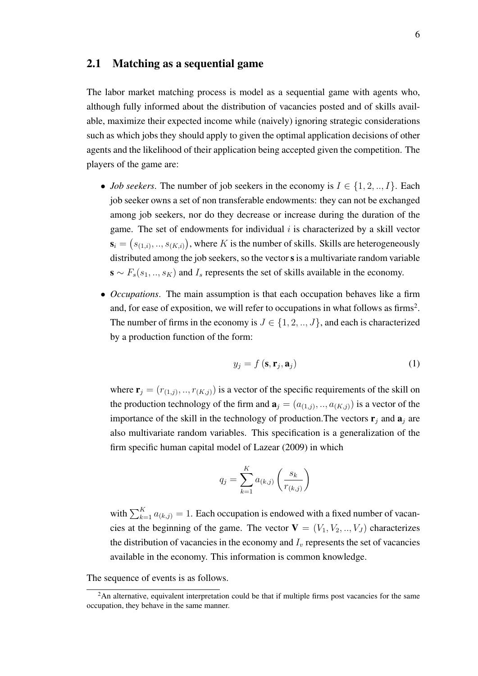#### 2.1 Matching as a sequential game

The labor market matching process is model as a sequential game with agents who, although fully informed about the distribution of vacancies posted and of skills available, maximize their expected income while (naively) ignoring strategic considerations such as which jobs they should apply to given the optimal application decisions of other agents and the likelihood of their application being accepted given the competition. The players of the game are:

- *Job seekers*. The number of job seekers in the economy is  $I \in \{1, 2, ..., I\}$ . Each job seeker owns a set of non transferable endowments: they can not be exchanged among job seekers, nor do they decrease or increase during the duration of the game. The set of endowments for individual  $i$  is characterized by a skill vector  $\mathbf{s}_i = \left(s_{(1,i)}, ..., s_{(K,i)}\right)$ , where K is the number of skills. Skills are heterogeneously distributed among the job seekers, so the vector s is a multivariate random variable  $\mathbf{s} \sim F_s(s_1, \ldots, s_K)$  and  $I_s$  represents the set of skills available in the economy.
- *Occupations*. The main assumption is that each occupation behaves like a firm and, for ease of exposition, we will refer to occupations in what follows as firms<sup>[2](#page-0-0)</sup>. The number of firms in the economy is  $J \in \{1, 2, ..., J\}$ , and each is characterized by a production function of the form:

<span id="page-6-0"></span>
$$
y_j = f\left(\mathbf{s}, \mathbf{r}_j, \mathbf{a}_j\right) \tag{1}
$$

where  $\mathbf{r}_j = (r_{(1,j)}, ..., r_{(K,j)})$  is a vector of the specific requirements of the skill on the production technology of the firm and  $\mathbf{a}_j = (a_{(1,j)}, ..., a_{(K,j)})$  is a vector of the importance of the skill in the technology of production. The vectors  $\mathbf{r}_i$  and  $\mathbf{a}_i$  are also multivariate random variables. This specification is a generalization of the firm specific human capital model of [Lazear](#page-30-0) [\(2009\)](#page-30-0) in which

$$
q_j = \sum_{k=1}^K a_{(k,j)} \left( \frac{s_k}{r_{(k,j)}} \right)
$$

with  $\sum_{k=1}^{K} a_{(k,j)} = 1$ . Each occupation is endowed with a fixed number of vacancies at the beginning of the game. The vector  $V = (V_1, V_2, ..., V_J)$  characterizes the distribution of vacancies in the economy and  $I<sub>v</sub>$  represents the set of vacancies available in the economy. This information is common knowledge.

The sequence of events is as follows.

<sup>&</sup>lt;sup>2</sup>An alternative, equivalent interpretation could be that if multiple firms post vacancies for the same occupation, they behave in the same manner.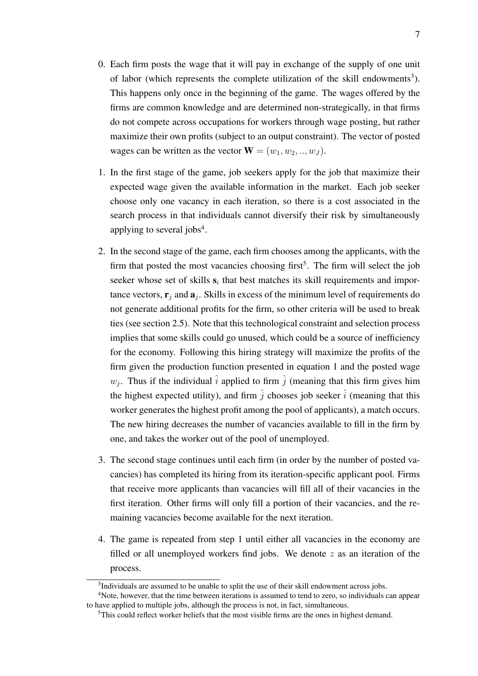- 0. Each firm posts the wage that it will pay in exchange of the supply of one unit of labor (which represents the complete utilization of the skill endowments<sup>[3](#page-0-0)</sup>). This happens only once in the beginning of the game. The wages offered by the firms are common knowledge and are determined non-strategically, in that firms do not compete across occupations for workers through wage posting, but rather maximize their own profits (subject to an output constraint). The vector of posted wages can be written as the vector  $\mathbf{W} = (w_1, w_2, ..., w_J)$ .
- <span id="page-7-0"></span>1. In the first stage of the game, job seekers apply for the job that maximize their expected wage given the available information in the market. Each job seeker choose only one vacancy in each iteration, so there is a cost associated in the search process in that individuals cannot diversify their risk by simultaneously applying to several jobs<sup>[4](#page-0-0)</sup>.
- 2. In the second stage of the game, each firm chooses among the applicants, with the firm that posted the most vacancies choosing first<sup>[5](#page-0-0)</sup>. The firm will select the job seeker whose set of skills  $s_i$  that best matches its skill requirements and importance vectors,  $\mathbf{r}_j$  and  $\mathbf{a}_j$ . Skills in excess of the minimum level of requirements do not generate additional profits for the firm, so other criteria will be used to break ties (see section [2.5\)](#page-13-0). Note that this technological constraint and selection process implies that some skills could go unused, which could be a source of inefficiency for the economy. Following this hiring strategy will maximize the profits of the firm given the production function presented in equation [1](#page-6-0) and the posted wage  $w_j$ . Thus if the individual  $\hat{i}$  applied to firm  $\hat{j}$  (meaning that this firm gives him the highest expected utility), and firm  $\hat{i}$  chooses job seeker  $\hat{i}$  (meaning that this worker generates the highest profit among the pool of applicants), a match occurs. The new hiring decreases the number of vacancies available to fill in the firm by one, and takes the worker out of the pool of unemployed.
- 3. The second stage continues until each firm (in order by the number of posted vacancies) has completed its hiring from its iteration-specific applicant pool. Firms that receive more applicants than vacancies will fill all of their vacancies in the first iteration. Other firms will only fill a portion of their vacancies, and the remaining vacancies become available for the next iteration.
- 4. The game is repeated from step [1](#page-7-0) until either all vacancies in the economy are filled or all unemployed workers find jobs. We denote  $z$  as an iteration of the process.

<sup>&</sup>lt;sup>3</sup>Individuals are assumed to be unable to split the use of their skill endowment across jobs.

<sup>4</sup>Note, however, that the time between iterations is assumed to tend to zero, so individuals can appear to have applied to multiple jobs, although the process is not, in fact, simultaneous.

 $<sup>5</sup>$ This could reflect worker beliefs that the most visible firms are the ones in highest demand.</sup>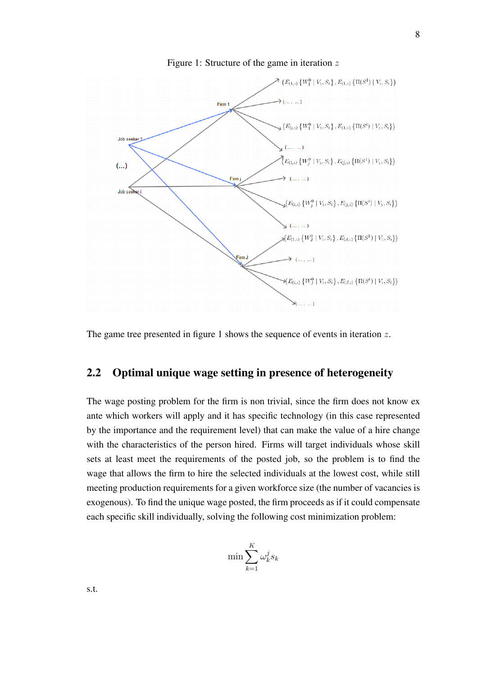<span id="page-8-0"></span>

Figure 1: Structure of the game in iteration  $z$ 

The game tree presented in figure [1](#page-8-0) shows the sequence of events in iteration z.

#### 2.2 Optimal unique wage setting in presence of heterogeneity

The wage posting problem for the firm is non trivial, since the firm does not know ex ante which workers will apply and it has specific technology (in this case represented by the importance and the requirement level) that can make the value of a hire change with the characteristics of the person hired. Firms will target individuals whose skill sets at least meet the requirements of the posted job, so the problem is to find the wage that allows the firm to hire the selected individuals at the lowest cost, while still meeting production requirements for a given workforce size (the number of vacancies is exogenous). To find the unique wage posted, the firm proceeds as if it could compensate each specific skill individually, solving the following cost minimization problem:

$$
\min \sum_{k=1}^K \omega_k^j s_k
$$

s.t.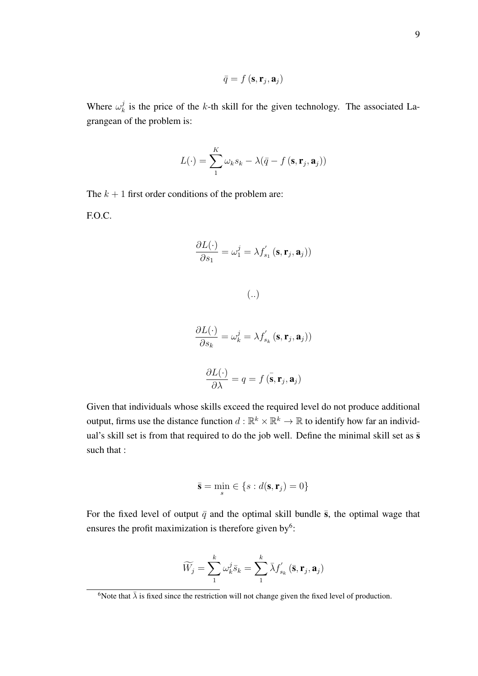$$
\bar{q} = f\left(\mathbf{s}, \mathbf{r}_j, \mathbf{a}_j\right)
$$

Where  $\omega_k^j$  $k<sub>k</sub>$  is the price of the k-th skill for the given technology. The associated Lagrangean of the problem is:

$$
L(\cdot) = \sum_{1}^{K} \omega_k s_k - \lambda(\bar{q} - f(\mathbf{s}, \mathbf{r}_j, \mathbf{a}_j))
$$

The  $k + 1$  first order conditions of the problem are: F.O.C.

$$
\frac{\partial L(\cdot)}{\partial s_1} = \omega_1^j = \lambda f_{s_1}'\left(\mathbf{s}, \mathbf{r}_j, \mathbf{a}_j\right)
$$

(..)

$$
\frac{\partial L(\cdot)}{\partial s_k} = \omega_k^j = \lambda f_{s_k}' (\mathbf{s}, \mathbf{r}_j, \mathbf{a}_j))
$$

$$
\frac{\partial L(\cdot)}{\partial \lambda} = q = f(\bar{\mathbf{s}}, \mathbf{r}_j, \mathbf{a}_j)
$$

Given that individuals whose skills exceed the required level do not produce additional output, firms use the distance function  $d : \mathbb{R}^k \times \mathbb{R}^k \to \mathbb{R}$  to identify how far an individual's skill set is from that required to do the job well. Define the minimal skill set as  $\bar{s}$ such that :

$$
\bar{\mathbf{s}} = \min_{s} \in \{s : d(\mathbf{s}, \mathbf{r}_j) = 0\}
$$

For the fixed level of output  $\bar{q}$  and the optimal skill bundle  $\bar{s}$ , the optimal wage that ensures the profit maximization is therefore given by<sup>[6](#page-0-0)</sup>:

$$
\widetilde{W}_j = \sum_{1}^{k} \omega_k^j \bar{s}_k = \sum_{1}^{k} \bar{\lambda} f'_{s_k} (\bar{\mathbf{s}}, \mathbf{r}_j, \mathbf{a}_j)
$$

<sup>&</sup>lt;sup>6</sup>Note that  $\bar{\lambda}$  is fixed since the restriction will not change given the fixed level of production.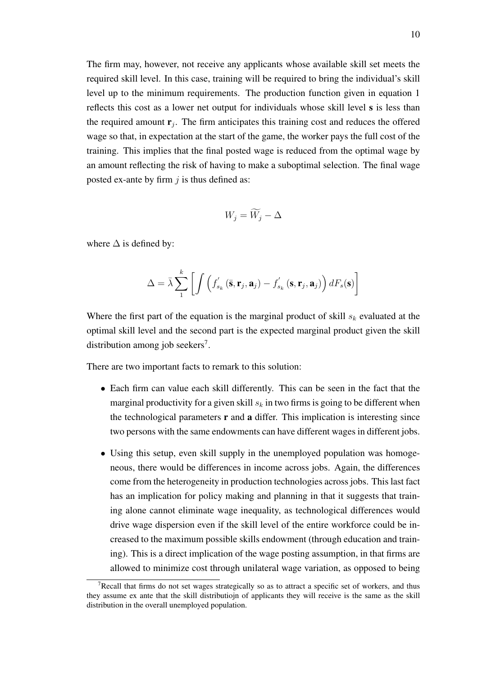The firm may, however, not receive any applicants whose available skill set meets the required skill level. In this case, training will be required to bring the individual's skill level up to the minimum requirements. The production function given in equation [1](#page-6-0) reflects this cost as a lower net output for individuals whose skill level s is less than the required amount  $\mathbf{r}_j$ . The firm anticipates this training cost and reduces the offered wage so that, in expectation at the start of the game, the worker pays the full cost of the training. This implies that the final posted wage is reduced from the optimal wage by an amount reflecting the risk of having to make a suboptimal selection. The final wage posted ex-ante by firm  $j$  is thus defined as:

$$
W_j = \widetilde{W}_j - \Delta
$$

where  $\Delta$  is defined by:

$$
\Delta = \bar{\lambda} \sum_{1}^{k} \left[ \int \left( f_{s_k}'\left(\bar{\mathbf{s}}, \mathbf{r}_j, \mathbf{a}_j\right) - f_{s_k}'\left(\mathbf{s}, \mathbf{r}_j, \mathbf{a}_j\right) \right) dF_s(\mathbf{s}) \right]
$$

Where the first part of the equation is the marginal product of skill  $s_k$  evaluated at the optimal skill level and the second part is the expected marginal product given the skill distribution among job seekers<sup>[7](#page-0-0)</sup>.

There are two important facts to remark to this solution:

- Each firm can value each skill differently. This can be seen in the fact that the marginal productivity for a given skill  $s_k$  in two firms is going to be different when the technological parameters  $\bf{r}$  and  $\bf{a}$  differ. This implication is interesting since two persons with the same endowments can have different wages in different jobs.
- Using this setup, even skill supply in the unemployed population was homogeneous, there would be differences in income across jobs. Again, the differences come from the heterogeneity in production technologies across jobs. This last fact has an implication for policy making and planning in that it suggests that training alone cannot eliminate wage inequality, as technological differences would drive wage dispersion even if the skill level of the entire workforce could be increased to the maximum possible skills endowment (through education and training). This is a direct implication of the wage posting assumption, in that firms are allowed to minimize cost through unilateral wage variation, as opposed to being

<sup>&</sup>lt;sup>7</sup>Recall that firms do not set wages strategically so as to attract a specific set of workers, and thus they assume ex ante that the skill distributiojn of applicants they will receive is the same as the skill distribution in the overall unemployed population.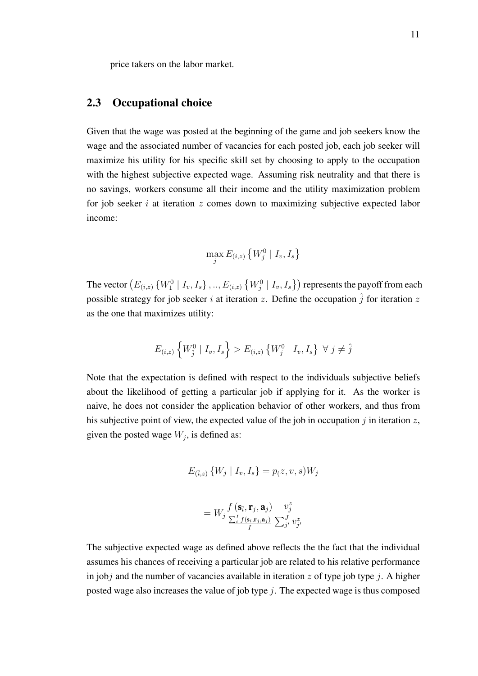price takers on the labor market.

#### 2.3 Occupational choice

Given that the wage was posted at the beginning of the game and job seekers know the wage and the associated number of vacancies for each posted job, each job seeker will maximize his utility for his specific skill set by choosing to apply to the occupation with the highest subjective expected wage. Assuming risk neutrality and that there is no savings, workers consume all their income and the utility maximization problem for job seeker  $i$  at iteration  $z$  comes down to maximizing subjective expected labor income:

$$
\max_j E_{(i,z)}\left\{W_j^0 \mid I_v, I_s\right\}
$$

The vector  $\left(E_{(i,z)}\left\{W^0_1\mid I_v, I_s\right\},..,E_{(i,z)}\left\{W^0_j\mid I_v, I_s\right\}\right)$  represents the payoff from each possible strategy for job seeker i at iteration z. Define the occupation  $\hat{j}$  for iteration z as the one that maximizes utility:

$$
E_{(i,z)}\left\{W_j^0 \mid I_v, I_s\right\} > E_{(i,z)}\left\{W_j^0 \mid I_v, I_s\right\} \ \forall \ j \neq \hat{j}
$$

Note that the expectation is defined with respect to the individuals subjective beliefs about the likelihood of getting a particular job if applying for it. As the worker is naive, he does not consider the application behavior of other workers, and thus from his subjective point of view, the expected value of the job in occupation j in iteration z, given the posted wage  $W_j$ , is defined as:

$$
E_{(\bar{i},z)}\{W_j \mid I_v, I_s\} = p(z, v, s)W_j
$$

$$
= W_j \frac{f\left(\mathbf{s}_{\bar{i}}, \mathbf{r}_{j}, \mathbf{a}_{j}\right)}{\frac{\sum_{i}^{I} f\left(\mathbf{s}_{i}, \mathbf{r}_{j}, \mathbf{a}_{j}\right)}{I}} \frac{v_{j}^{z}}{\sum_{j'}^{J} v_{j'}^{z}}
$$

The subjective expected wage as defined above reflects the the fact that the individual assumes his chances of receiving a particular job are related to his relative performance in jobj and the number of vacancies available in iteration  $z$  of type job type j. A higher posted wage also increases the value of job type  $j$ . The expected wage is thus composed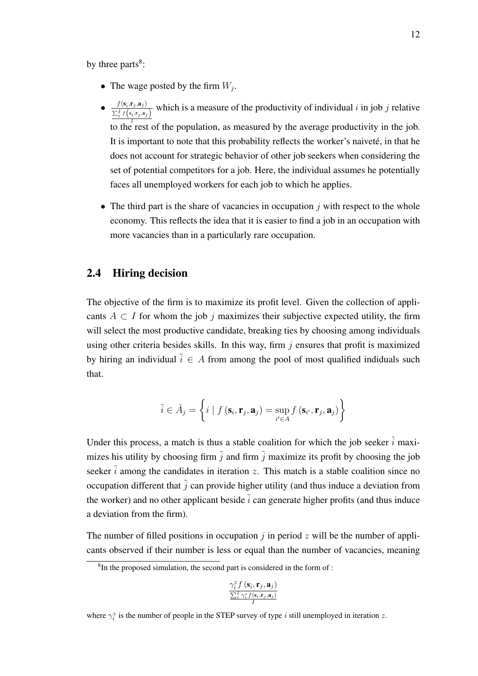by three parts $8$ :

- The wage posted by the firm  $W_j$ .
- $f(\mathbf{s}_{\bar{i}},\mathbf{r}_j,\mathbf{a}_j)$  $\frac{J(\mathbf{s}_i,\mathbf{r}_j,\mathbf{a}_j)}{\sum_i^I f(s_i,\mathbf{r}_j,\mathbf{a}_j)}$  which is a measure of the productivity of individual i in job j relative to the rest of the population, as measured by the average productivity in the job. It is important to note that this probability reflects the worker's naiveté, in that he does not account for strategic behavior of other job seekers when considering the set of potential competitors for a job. Here, the individual assumes he potentially faces all unemployed workers for each job to which he applies.
- The third part is the share of vacancies in occupation  $\dot{\gamma}$  with respect to the whole economy. This reflects the idea that it is easier to find a job in an occupation with more vacancies than in a particularly rare occupation.

#### 2.4 Hiring decision

The objective of the firm is to maximize its profit level. Given the collection of applicants  $A \subset I$  for whom the job j maximizes their subjective expected utility, the firm will select the most productive candidate, breaking ties by choosing among individuals using other criteria besides skills. In this way, firm  $j$  ensures that profit is maximized by hiring an individual  $\tilde{i} \in A$  from among the pool of most qualified indiduals such that.

$$
\tilde{i} \in \hat{A}_j = \left\{ i \mid f\left(\mathbf{s}_i, \mathbf{r}_j, \mathbf{a}_j\right) = \sup_{i' \in A} f\left(\mathbf{s}_{i'}, \mathbf{r}_j, \mathbf{a}_j\right) \right\}
$$

Under this process, a match is thus a stable coalition for which the job seeker  $\tilde{i}$  maximizes his utility by choosing firm  $\tilde{j}$  and firm  $\tilde{j}$  maximize its profit by choosing the job seeker  $\tilde{i}$  among the candidates in iteration z. This match is a stable coalition since no occupation different that  $\tilde{j}$  can provide higher utility (and thus induce a deviation from the worker) and no other applicant beside  $\tilde{i}$  can generate higher profits (and thus induce a deviation from the firm).

The number of filled positions in occupation  $j$  in period  $z$  will be the number of applicants observed if their number is less or equal than the number of vacancies, meaning

$$
\frac{\gamma_{\overline{i}}^{z} f\left(\mathbf{s}_{\overline{i}}, \mathbf{r}_{j}, \mathbf{a}_{j}\right)}{\sum_{i}^{I} \gamma_{i}^{z} f\left(\mathbf{s}_{i}, \mathbf{r}_{j}, \mathbf{a}_{j}\right)}{I}}
$$

<sup>&</sup>lt;sup>8</sup>In the proposed simulation, the second part is considered in the form of :

where  $\gamma_i^z$  is the number of people in the STEP survey of type i still unemployed in iteration z.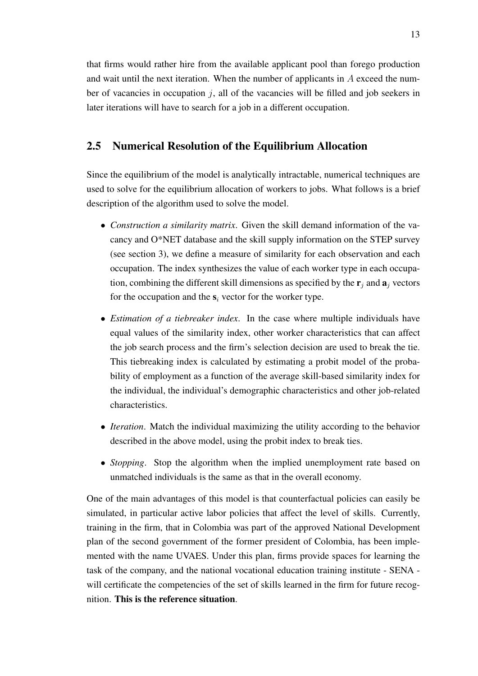that firms would rather hire from the available applicant pool than forego production and wait until the next iteration. When the number of applicants in A exceed the number of vacancies in occupation  $\dot{\gamma}$ , all of the vacancies will be filled and job seekers in later iterations will have to search for a job in a different occupation.

#### <span id="page-13-0"></span>2.5 Numerical Resolution of the Equilibrium Allocation

Since the equilibrium of the model is analytically intractable, numerical techniques are used to solve for the equilibrium allocation of workers to jobs. What follows is a brief description of the algorithm used to solve the model.

- *Construction a similarity matrix*. Given the skill demand information of the vacancy and O\*NET database and the skill supply information on the STEP survey (see section [3\)](#page-14-0), we define a measure of similarity for each observation and each occupation. The index synthesizes the value of each worker type in each occupation, combining the different skill dimensions as specified by the  $\mathbf{r}_i$  and  $\mathbf{a}_i$  vectors for the occupation and the  $s_i$  vector for the worker type.
- *Estimation of a tiebreaker index*. In the case where multiple individuals have equal values of the similarity index, other worker characteristics that can affect the job search process and the firm's selection decision are used to break the tie. This tiebreaking index is calculated by estimating a probit model of the probability of employment as a function of the average skill-based similarity index for the individual, the individual's demographic characteristics and other job-related characteristics.
- *Iteration*. Match the individual maximizing the utility according to the behavior described in the above model, using the probit index to break ties.
- *Stopping*. Stop the algorithm when the implied unemployment rate based on unmatched individuals is the same as that in the overall economy.

One of the main advantages of this model is that counterfactual policies can easily be simulated, in particular active labor policies that affect the level of skills. Currently, training in the firm, that in Colombia was part of the approved National Development plan of the second government of the former president of Colombia, has been implemented with the name UVAES. Under this plan, firms provide spaces for learning the task of the company, and the national vocational education training institute - SENA will certificate the competencies of the set of skills learned in the firm for future recognition. This is the reference situation.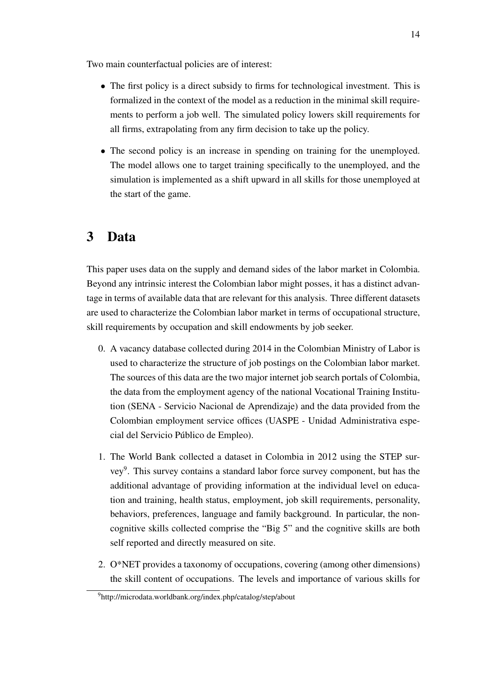Two main counterfactual policies are of interest:

- The first policy is a direct subsidy to firms for technological investment. This is formalized in the context of the model as a reduction in the minimal skill requirements to perform a job well. The simulated policy lowers skill requirements for all firms, extrapolating from any firm decision to take up the policy.
- The second policy is an increase in spending on training for the unemployed. The model allows one to target training specifically to the unemployed, and the simulation is implemented as a shift upward in all skills for those unemployed at the start of the game.

### <span id="page-14-0"></span>3 Data

This paper uses data on the supply and demand sides of the labor market in Colombia. Beyond any intrinsic interest the Colombian labor might posses, it has a distinct advantage in terms of available data that are relevant for this analysis. Three different datasets are used to characterize the Colombian labor market in terms of occupational structure, skill requirements by occupation and skill endowments by job seeker.

- 0. A vacancy database collected during 2014 in the Colombian Ministry of Labor is used to characterize the structure of job postings on the Colombian labor market. The sources of this data are the two major internet job search portals of Colombia, the data from the employment agency of the national Vocational Training Institution (SENA - Servicio Nacional de Aprendizaje) and the data provided from the Colombian employment service offices (UASPE - Unidad Administrativa especial del Servicio Público de Empleo).
- 1. The World Bank collected a dataset in Colombia in 2012 using the STEP sur-vey<sup>[9](#page-0-0)</sup>. This survey contains a standard labor force survey component, but has the additional advantage of providing information at the individual level on education and training, health status, employment, job skill requirements, personality, behaviors, preferences, language and family background. In particular, the noncognitive skills collected comprise the "Big 5" and the cognitive skills are both self reported and directly measured on site.
- 2. O\*NET provides a taxonomy of occupations, covering (among other dimensions) the skill content of occupations. The levels and importance of various skills for

<sup>9</sup>http://microdata.worldbank.org/index.php/catalog/step/about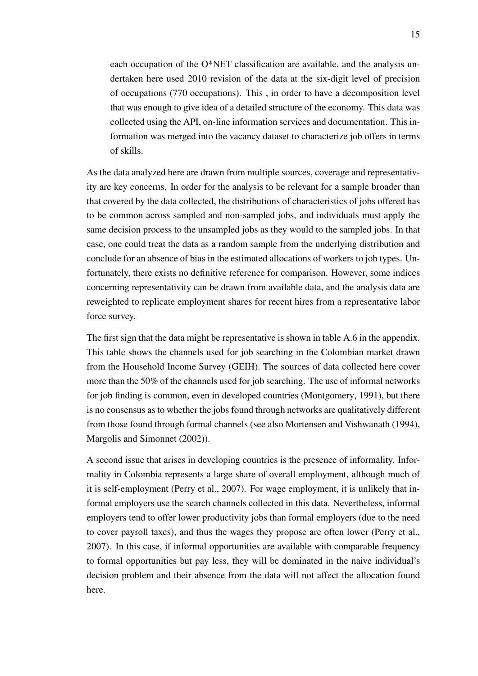each occupation of the O\*NET classification are available, and the analysis undertaken here used 2010 revision of the data at the six-digit level of precision of occupations (770 occupations). This , in order to have a decomposition level that was enough to give idea of a detailed structure of the economy. This data was collected using the API, on-line information services and documentation. This information was merged into the vacancy dataset to characterize job offers in terms of skills.

As the data analyzed here are drawn from multiple sources, coverage and representativity are key concerns. In order for the analysis to be relevant for a sample broader than that covered by the data collected, the distributions of characteristics of jobs offered has to be common across sampled and non-sampled jobs, and individuals must apply the same decision process to the unsampled jobs as they would to the sampled jobs. In that case, one could treat the data as a random sample from the underlying distribution and conclude for an absence of bias in the estimated allocations of workers to job types. Unfortunately, there exists no definitive reference for comparison. However, some indices concerning representativity can be drawn from available data, and the analysis data are reweighted to replicate employment shares for recent hires from a representative labor force survey.

The first sign that the data might be representative is shown in table [A.6](#page-35-0) in the appendix. This table shows the channels used for job searching in the Colombian market drawn from the Household Income Survey (GEIH). The sources of data collected here cover more than the 50% of the channels used for job searching. The use of informal networks for job finding is common, even in developed countries [\(Montgomery,](#page-31-3) [1991\)](#page-31-3), but there is no consensus as to whether the jobs found through networks are qualitatively different from those found through formal channels (see also [Mortensen and Vishwanath](#page-31-4) [\(1994\)](#page-31-4), [Margolis and Simonnet](#page-30-9) [\(2002\)](#page-30-9)).

A second issue that arises in developing countries is the presence of informality. Informality in Colombia represents a large share of overall employment, although much of it is self-employment [\(Perry et al.,](#page-31-5) [2007\)](#page-31-5). For wage employment, it is unlikely that informal employers use the search channels collected in this data. Nevertheless, informal employers tend to offer lower productivity jobs than formal employers (due to the need to cover payroll taxes), and thus the wages they propose are often lower [\(Perry et al.,](#page-31-5) [2007\)](#page-31-5). In this case, if informal opportunities are available with comparable frequency to formal opportunities but pay less, they will be dominated in the naive individual's decision problem and their absence from the data will not affect the allocation found here.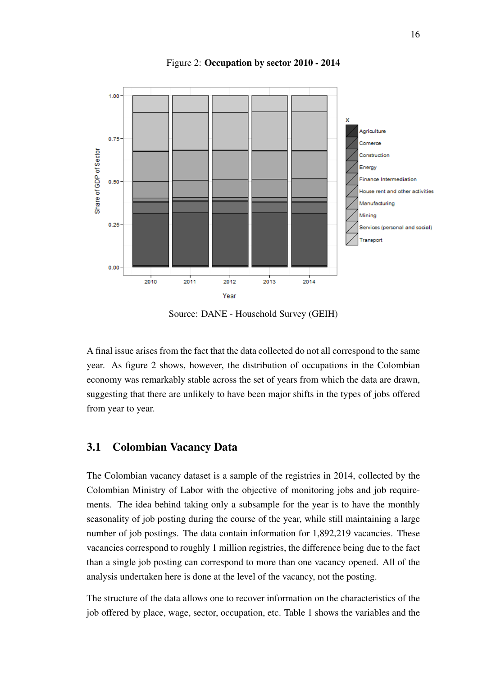<span id="page-16-0"></span>

Figure 2: Occupation by sector 2010 - 2014

Source: DANE - Household Survey (GEIH)

A final issue arises from the fact that the data collected do not all correspond to the same year. As figure [2](#page-16-0) shows, however, the distribution of occupations in the Colombian economy was remarkably stable across the set of years from which the data are drawn, suggesting that there are unlikely to have been major shifts in the types of jobs offered from year to year.

#### 3.1 Colombian Vacancy Data

The Colombian vacancy dataset is a sample of the registries in 2014, collected by the Colombian Ministry of Labor with the objective of monitoring jobs and job requirements. The idea behind taking only a subsample for the year is to have the monthly seasonality of job posting during the course of the year, while still maintaining a large number of job postings. The data contain information for 1,892,219 vacancies. These vacancies correspond to roughly 1 million registries, the difference being due to the fact than a single job posting can correspond to more than one vacancy opened. All of the analysis undertaken here is done at the level of the vacancy, not the posting.

The structure of the data allows one to recover information on the characteristics of the job offered by place, wage, sector, occupation, etc. Table [1](#page-17-0) shows the variables and the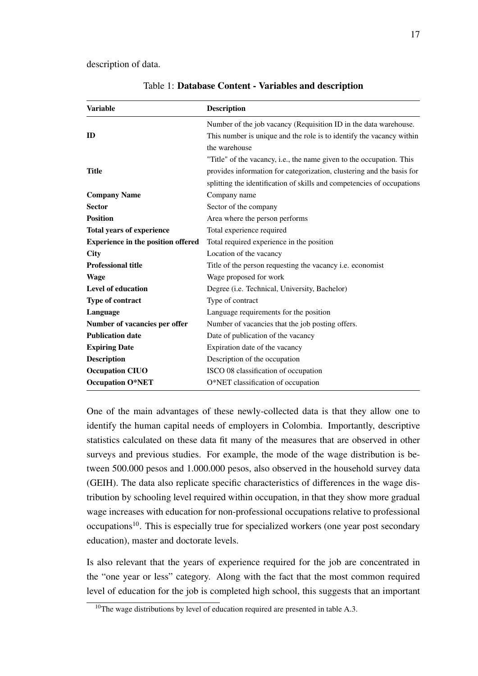<span id="page-17-0"></span>description of data.

| <b>Variable</b>                           | <b>Description</b>                                                     |
|-------------------------------------------|------------------------------------------------------------------------|
|                                           | Number of the job vacancy (Requisition ID in the data warehouse.       |
| ID                                        | This number is unique and the role is to identify the vacancy within   |
|                                           | the warehouse                                                          |
|                                           | "Title" of the vacancy, i.e., the name given to the occupation. This   |
| <b>Title</b>                              | provides information for categorization, clustering and the basis for  |
|                                           | splitting the identification of skills and competencies of occupations |
| <b>Company Name</b>                       | Company name                                                           |
| <b>Sector</b>                             | Sector of the company                                                  |
| <b>Position</b>                           | Area where the person performs                                         |
| <b>Total years of experience</b>          | Total experience required                                              |
| <b>Experience in the position offered</b> | Total required experience in the position                              |
| <b>City</b>                               | Location of the vacancy                                                |
| <b>Professional title</b>                 | Title of the person requesting the vacancy i.e. economist              |
| <b>Wage</b>                               | Wage proposed for work                                                 |
| Level of education                        | Degree ( <i>i.e.</i> Technical, University, Bachelor)                  |
| Type of contract                          | Type of contract                                                       |
| Language                                  | Language requirements for the position                                 |
| Number of vacancies per offer             | Number of vacancies that the job posting offers.                       |
| <b>Publication date</b>                   | Date of publication of the vacancy                                     |
| <b>Expiring Date</b>                      | Expiration date of the vacancy                                         |
| <b>Description</b>                        | Description of the occupation                                          |
| <b>Occupation CIUO</b>                    | ISCO 08 classification of occupation                                   |
| <b>Occupation O*NET</b>                   | O*NET classification of occupation                                     |

Table 1: Database Content - Variables and description

One of the main advantages of these newly-collected data is that they allow one to identify the human capital needs of employers in Colombia. Importantly, descriptive statistics calculated on these data fit many of the measures that are observed in other surveys and previous studies. For example, the mode of the wage distribution is between 500.000 pesos and 1.000.000 pesos, also observed in the household survey data (GEIH). The data also replicate specific characteristics of differences in the wage distribution by schooling level required within occupation, in that they show more gradual wage increases with education for non-professional occupations relative to professional occupations<sup>[10](#page-0-0)</sup>. This is especially true for specialized workers (one year post secondary education), master and doctorate levels.

Is also relevant that the years of experience required for the job are concentrated in the "one year or less" category. Along with the fact that the most common required level of education for the job is completed high school, this suggests that an important

<sup>&</sup>lt;sup>10</sup>The wage distributions by level of education required are presented in table [A.3.](#page-33-0)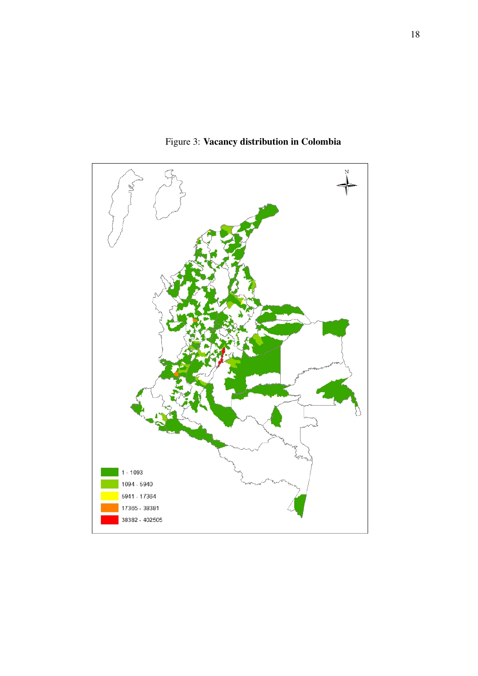

Figure 3: Vacancy distribution in Colombia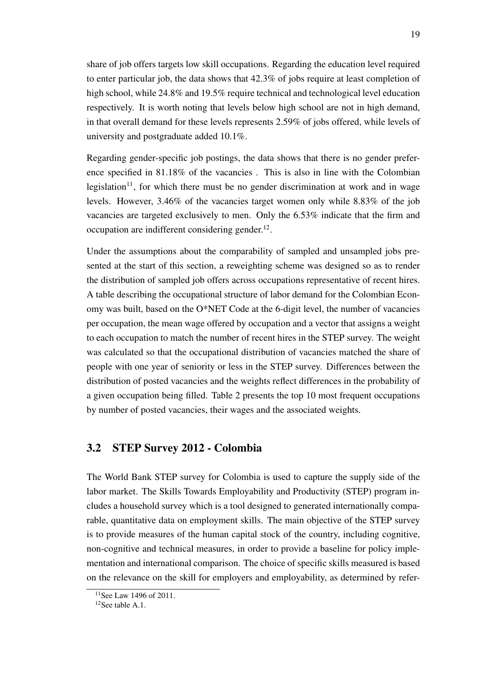share of job offers targets low skill occupations. Regarding the education level required to enter particular job, the data shows that 42.3% of jobs require at least completion of high school, while 24.8% and 19.5% require technical and technological level education respectively. It is worth noting that levels below high school are not in high demand, in that overall demand for these levels represents 2.59% of jobs offered, while levels of university and postgraduate added 10.1%.

Regarding gender-specific job postings, the data shows that there is no gender preference specified in 81.18% of the vacancies . This is also in line with the Colombian legislation<sup>[11](#page-0-0)</sup>, for which there must be no gender discrimination at work and in wage levels. However, 3.46% of the vacancies target women only while 8.83% of the job vacancies are targeted exclusively to men. Only the 6.53% indicate that the firm and occupation are indifferent considering gender. $^{12}$  $^{12}$  $^{12}$ .

Under the assumptions about the comparability of sampled and unsampled jobs presented at the start of this section, a reweighting scheme was designed so as to render the distribution of sampled job offers across occupations representative of recent hires. A table describing the occupational structure of labor demand for the Colombian Economy was built, based on the O\*NET Code at the 6-digit level, the number of vacancies per occupation, the mean wage offered by occupation and a vector that assigns a weight to each occupation to match the number of recent hires in the STEP survey. The weight was calculated so that the occupational distribution of vacancies matched the share of people with one year of seniority or less in the STEP survey. Differences between the distribution of posted vacancies and the weights reflect differences in the probability of a given occupation being filled. Table [2](#page-20-0) presents the top 10 most frequent occupations by number of posted vacancies, their wages and the associated weights.

#### 3.2 STEP Survey 2012 - Colombia

The World Bank STEP survey for Colombia is used to capture the supply side of the labor market. The Skills Towards Employability and Productivity (STEP) program includes a household survey which is a tool designed to generated internationally comparable, quantitative data on employment skills. The main objective of the STEP survey is to provide measures of the human capital stock of the country, including cognitive, non-cognitive and technical measures, in order to provide a baseline for policy implementation and international comparison. The choice of specific skills measured is based on the relevance on the skill for employers and employability, as determined by refer-

<sup>&</sup>lt;sup>11</sup>See Law 1496 of 2011.

 $12$ See table [A.1.](#page-32-0)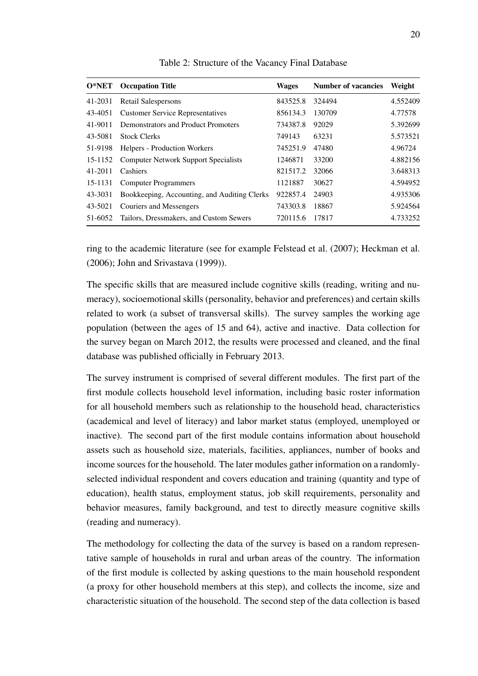<span id="page-20-0"></span>

| $O*NET$ | <b>Occupation Title</b>                      | <b>Wages</b> | <b>Number of vacancies</b> | Weight   |
|---------|----------------------------------------------|--------------|----------------------------|----------|
| 41-2031 | Retail Salespersons                          | 843525.8     | 324494                     | 4.552409 |
| 43-4051 | <b>Customer Service Representatives</b>      | 856134.3     | 130709                     | 4.77578  |
| 41-9011 | Demonstrators and Product Promoters          | 734387.8     | 92029                      | 5.392699 |
| 43-5081 | <b>Stock Clerks</b>                          | 749143       | 63231                      | 5.573521 |
| 51-9198 | <b>Helpers - Production Workers</b>          | 745251.9     | 47480                      | 4.96724  |
| 15-1152 | <b>Computer Network Support Specialists</b>  | 1246871      | 33200                      | 4.882156 |
| 41-2011 | Cashiers                                     | 821517.2     | 32066                      | 3.648313 |
| 15-1131 | <b>Computer Programmers</b>                  | 1121887      | 30627                      | 4.594952 |
| 43-3031 | Bookkeeping, Accounting, and Auditing Clerks | 922857.4     | 24903                      | 4.935306 |
| 43-5021 | Couriers and Messengers                      | 743303.8     | 18867                      | 5.924564 |
| 51-6052 | Tailors, Dressmakers, and Custom Sewers      | 720115.6     | 17817                      | 4.733252 |

Table 2: Structure of the Vacancy Final Database

ring to the academic literature (see for example [Felstead et al.](#page-30-10) [\(2007\)](#page-30-10); [Heckman et al.](#page-30-11) [\(2006\)](#page-30-11); [John and Srivastava](#page-30-12) [\(1999\)](#page-30-12)).

The specific skills that are measured include cognitive skills (reading, writing and numeracy), socioemotional skills (personality, behavior and preferences) and certain skills related to work (a subset of transversal skills). The survey samples the working age population (between the ages of 15 and 64), active and inactive. Data collection for the survey began on March 2012, the results were processed and cleaned, and the final database was published officially in February 2013.

The survey instrument is comprised of several different modules. The first part of the first module collects household level information, including basic roster information for all household members such as relationship to the household head, characteristics (academical and level of literacy) and labor market status (employed, unemployed or inactive). The second part of the first module contains information about household assets such as household size, materials, facilities, appliances, number of books and income sources for the household. The later modules gather information on a randomlyselected individual respondent and covers education and training (quantity and type of education), health status, employment status, job skill requirements, personality and behavior measures, family background, and test to directly measure cognitive skills (reading and numeracy).

The methodology for collecting the data of the survey is based on a random representative sample of households in rural and urban areas of the country. The information of the first module is collected by asking questions to the main household respondent (a proxy for other household members at this step), and collects the income, size and characteristic situation of the household. The second step of the data collection is based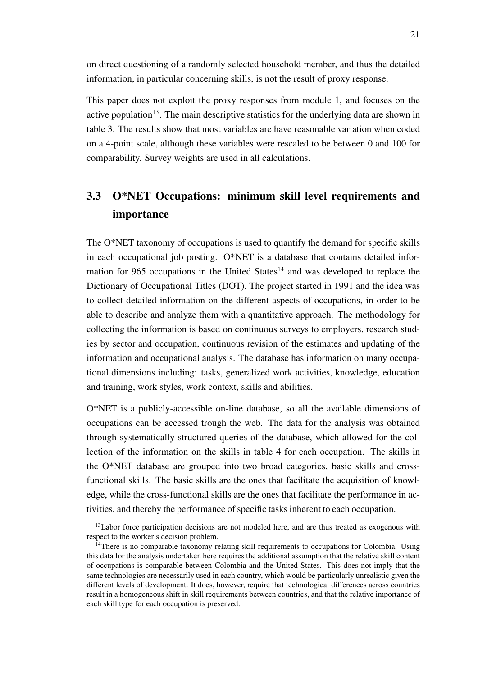on direct questioning of a randomly selected household member, and thus the detailed information, in particular concerning skills, is not the result of proxy response.

This paper does not exploit the proxy responses from module 1, and focuses on the active population<sup>[13](#page-0-0)</sup>. The main descriptive statistics for the underlying data are shown in table [3.](#page-22-0) The results show that most variables are have reasonable variation when coded on a 4-point scale, although these variables were rescaled to be between 0 and 100 for comparability. Survey weights are used in all calculations.

### 3.3 O\*NET Occupations: minimum skill level requirements and importance

The O\*NET taxonomy of occupations is used to quantify the demand for specific skills in each occupational job posting. O\*NET is a database that contains detailed infor-mation for 965 occupations in the United States<sup>[14](#page-0-0)</sup> and was developed to replace the Dictionary of Occupational Titles (DOT). The project started in 1991 and the idea was to collect detailed information on the different aspects of occupations, in order to be able to describe and analyze them with a quantitative approach. The methodology for collecting the information is based on continuous surveys to employers, research studies by sector and occupation, continuous revision of the estimates and updating of the information and occupational analysis. The database has information on many occupational dimensions including: tasks, generalized work activities, knowledge, education and training, work styles, work context, skills and abilities.

O\*NET is a publicly-accessible on-line database, so all the available dimensions of occupations can be accessed trough the web. The data for the analysis was obtained through systematically structured queries of the database, which allowed for the collection of the information on the skills in table [4](#page-24-0) for each occupation. The skills in the O\*NET database are grouped into two broad categories, basic skills and crossfunctional skills. The basic skills are the ones that facilitate the acquisition of knowledge, while the cross-functional skills are the ones that facilitate the performance in activities, and thereby the performance of specific tasks inherent to each occupation.

 $13$ Labor force participation decisions are not modeled here, and are thus treated as exogenous with respect to the worker's decision problem.

 $14$ There is no comparable taxonomy relating skill requirements to occupations for Colombia. Using this data for the analysis undertaken here requires the additional assumption that the relative skill content of occupations is comparable between Colombia and the United States. This does not imply that the same technologies are necessarily used in each country, which would be particularly unrealistic given the different levels of development. It does, however, require that technological differences across countries result in a homogeneous shift in skill requirements between countries, and that the relative importance of each skill type for each occupation is preserved.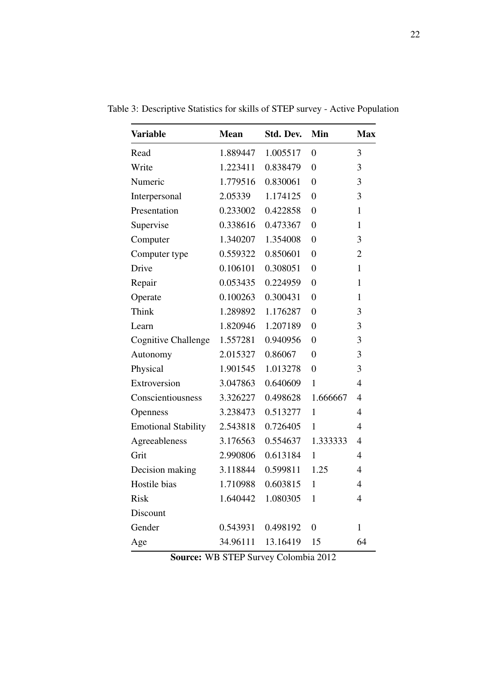| <b>Variable</b>            | <b>Mean</b> | Std. Dev.         | Min              | <b>Max</b>     |
|----------------------------|-------------|-------------------|------------------|----------------|
| Read                       | 1.889447    | 1.005517          | $\overline{0}$   | 3              |
| Write                      | 1.223411    | 0.838479          | $\overline{0}$   | 3              |
| Numeric                    | 1.779516    | 0.830061          | $\overline{0}$   | 3              |
| Interpersonal              | 2.05339     | 1.174125          | $\overline{0}$   | 3              |
| Presentation               | 0.233002    | 0.422858          | $\overline{0}$   | $\mathbf{1}$   |
| Supervise                  | 0.338616    | 0.473367          | $\overline{0}$   | $\mathbf{1}$   |
| Computer                   | 1.340207    | 1.354008          | $\overline{0}$   | 3              |
| Computer type              | 0.559322    | 0.850601          | $\overline{0}$   | $\overline{2}$ |
| Drive                      | 0.106101    | 0.308051          | $\overline{0}$   | $\mathbf{1}$   |
| Repair                     | 0.053435    | 0.224959          | $\overline{0}$   | $\mathbf{1}$   |
| Operate                    | 0.100263    | 0.300431          | $\overline{0}$   | $\mathbf{1}$   |
| Think                      | 1.289892    | 1.176287          | $\overline{0}$   | 3              |
| Learn                      | 1.820946    | 1.207189          | $\overline{0}$   | 3              |
| <b>Cognitive Challenge</b> | 1.557281    | 0.940956          | $\overline{0}$   | 3              |
| Autonomy                   | 2.015327    | 0.86067           | $\overline{0}$   | 3              |
| Physical                   | 1.901545    | 1.013278          | $\overline{0}$   | 3              |
| Extroversion               | 3.047863    | 0.640609          | $\mathbf{1}$     | $\overline{4}$ |
| Conscientiousness          | 3.326227    | 0.498628          | 1.666667         | 4              |
| Openness                   | 3.238473    | 0.513277          | $\mathbf{1}$     | $\overline{4}$ |
| <b>Emotional Stability</b> | 2.543818    | 0.726405          | 1                | $\overline{4}$ |
| Agreeableness              | 3.176563    | 0.554637          | 1.333333         | $\overline{4}$ |
| Grit                       | 2.990806    | 0.613184          | $\mathbf{1}$     | 4              |
| Decision making            | 3.118844    | 0.599811          | 1.25             | 4              |
| Hostile bias               |             | 1.710988 0.603815 | $\mathbf{1}$     | 4              |
| <b>Risk</b>                | 1.640442    | 1.080305          | $\mathbf{1}$     | $\overline{4}$ |
| Discount                   |             |                   |                  |                |
| Gender                     | 0.543931    | 0.498192          | $\boldsymbol{0}$ | $\mathbf{1}$   |
| Age                        | 34.96111    | 13.16419          | 15               | 64             |

<span id="page-22-0"></span>Table 3: Descriptive Statistics for skills of STEP survey - Active Population

Source: WB STEP Survey Colombia 2012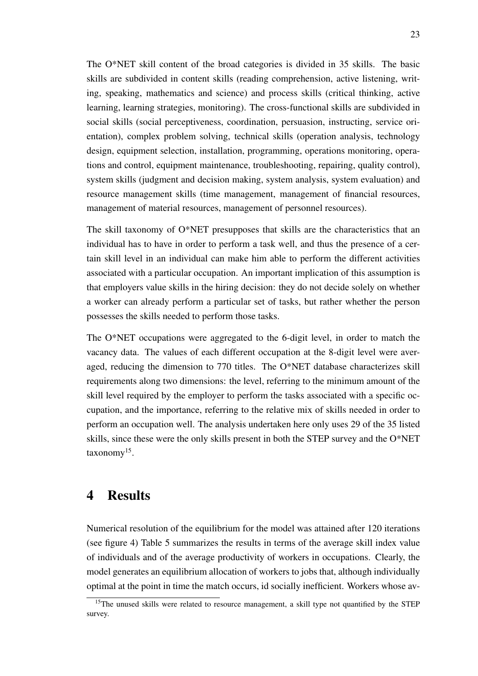The O\*NET skill content of the broad categories is divided in 35 skills. The basic skills are subdivided in content skills (reading comprehension, active listening, writing, speaking, mathematics and science) and process skills (critical thinking, active learning, learning strategies, monitoring). The cross-functional skills are subdivided in social skills (social perceptiveness, coordination, persuasion, instructing, service orientation), complex problem solving, technical skills (operation analysis, technology design, equipment selection, installation, programming, operations monitoring, operations and control, equipment maintenance, troubleshooting, repairing, quality control), system skills (judgment and decision making, system analysis, system evaluation) and resource management skills (time management, management of financial resources, management of material resources, management of personnel resources).

The skill taxonomy of O\*NET presupposes that skills are the characteristics that an individual has to have in order to perform a task well, and thus the presence of a certain skill level in an individual can make him able to perform the different activities associated with a particular occupation. An important implication of this assumption is that employers value skills in the hiring decision: they do not decide solely on whether a worker can already perform a particular set of tasks, but rather whether the person possesses the skills needed to perform those tasks.

The O\*NET occupations were aggregated to the 6-digit level, in order to match the vacancy data. The values of each different occupation at the 8-digit level were averaged, reducing the dimension to 770 titles. The O\*NET database characterizes skill requirements along two dimensions: the level, referring to the minimum amount of the skill level required by the employer to perform the tasks associated with a specific occupation, and the importance, referring to the relative mix of skills needed in order to perform an occupation well. The analysis undertaken here only uses 29 of the 35 listed skills, since these were the only skills present in both the STEP survey and the O\*NET taxonomy<sup>[15](#page-0-0)</sup>.

### 4 Results

Numerical resolution of the equilibrium for the model was attained after 120 iterations (see figure [4\)](#page-26-0) Table [5](#page-27-0) summarizes the results in terms of the average skill index value of individuals and of the average productivity of workers in occupations. Clearly, the model generates an equilibrium allocation of workers to jobs that, although individually optimal at the point in time the match occurs, id socially inefficient. Workers whose av-

<sup>&</sup>lt;sup>15</sup>The unused skills were related to resource management, a skill type not quantified by the STEP survey.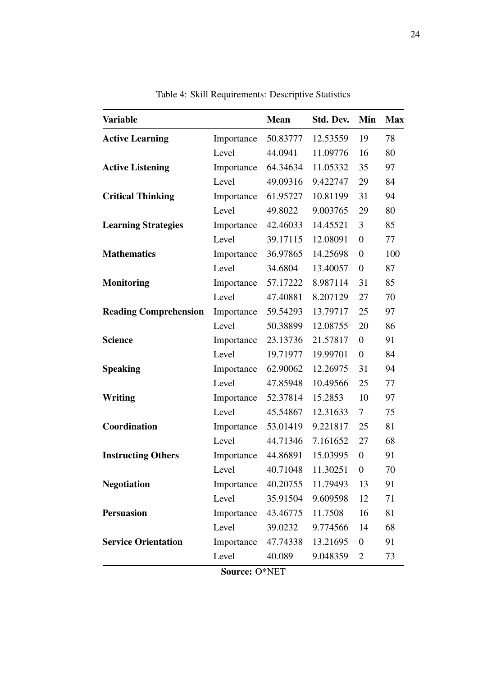<span id="page-24-0"></span>

| <b>Variable</b>              |            | <b>Mean</b> | Std. Dev.  | Min              | <b>Max</b> |
|------------------------------|------------|-------------|------------|------------------|------------|
| <b>Active Learning</b>       | Importance | 50.83777    | 12.53559   | 19               | 78         |
|                              | Level      | 44.0941     | 11.09776   | 16               | 80         |
| <b>Active Listening</b>      | Importance | 64.34634    | 11.05332   | 35               | 97         |
|                              | Level      | 49.09316    | 9.422747   | 29               | 84         |
| <b>Critical Thinking</b>     | Importance | 61.95727    | 10.81199   | 31               | 94         |
|                              | Level      | 49.8022     | 9.003765   | 29               | 80         |
| <b>Learning Strategies</b>   | Importance | 42.46033    | 14.45521   | 3                | 85         |
|                              | Level      | 39.17115    | 12.08091   | $\boldsymbol{0}$ | 77         |
| <b>Mathematics</b>           | Importance | 36.97865    | 14.25698   | $\boldsymbol{0}$ | 100        |
|                              | Level      | 34.6804     | 13.40057   | $\boldsymbol{0}$ | 87         |
| <b>Monitoring</b>            | Importance | 57.17222    | 8.987114   | 31               | 85         |
|                              | Level      | 47.40881    | 8.207129   | 27               | 70         |
| <b>Reading Comprehension</b> | Importance | 59.54293    | 13.79717   | 25               | 97         |
|                              | Level      | 50.38899    | 12.08755   | 20               | 86         |
| <b>Science</b>               | Importance | 23.13736    | 21.57817   | $\boldsymbol{0}$ | 91         |
|                              | Level      | 19.71977    | 19.99701   | $\overline{0}$   | 84         |
| <b>Speaking</b>              | Importance | 62.90062    | 12.26975   | 31               | 94         |
|                              | Level      | 47.85948    | 10.49566   | 25               | 77         |
| Writing                      | Importance | 52.37814    | 15.2853    | 10               | 97         |
|                              | Level      | 45.54867    | 12.31633   | 7                | 75         |
| Coordination                 | Importance | 53.01419    | 9.221817   | 25               | 81         |
|                              | Level      | 44.71346    | 7.161652   | 27               | 68         |
| <b>Instructing Others</b>    | Importance | 44.86891    | 15.03995   | $\overline{0}$   | 91         |
|                              | Level      | 40.71048    | 11.30251 0 |                  | 70         |
| <b>Negotiation</b>           | Importance | 40.20755    | 11.79493   | 13               | 91         |
|                              | Level      | 35.91504    | 9.609598   | 12               | 71         |
| <b>Persuasion</b>            | Importance | 43.46775    | 11.7508    | 16               | 81         |
|                              | Level      | 39.0232     | 9.774566   | 14               | 68         |
| <b>Service Orientation</b>   | Importance | 47.74338    | 13.21695   | $\boldsymbol{0}$ | 91         |
|                              | Level      | 40.089      | 9.048359   | $\overline{2}$   | 73         |

Table 4: Skill Requirements: Descriptive Statistics

Source: O\*NET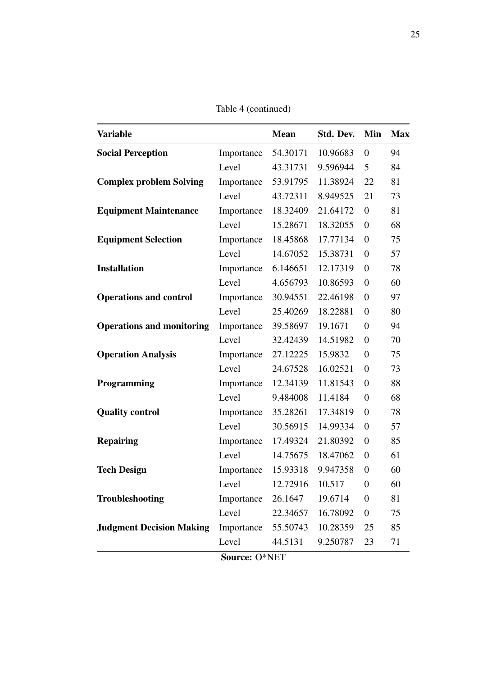Table [4](#page-24-0) (continued)

| <b>Variable</b>                  |            | <b>Mean</b> | Std. Dev. | Min              | <b>Max</b> |
|----------------------------------|------------|-------------|-----------|------------------|------------|
| <b>Social Perception</b>         | Importance | 54.30171    | 10.96683  | $\boldsymbol{0}$ | 94         |
|                                  | Level      | 43.31731    | 9.596944  | 5                | 84         |
| <b>Complex problem Solving</b>   | Importance | 53.91795    | 11.38924  | 22               | 81         |
|                                  | Level      | 43.72311    | 8.949525  | 21               | 73         |
| <b>Equipment Maintenance</b>     | Importance | 18.32409    | 21.64172  | $\boldsymbol{0}$ | 81         |
|                                  | Level      | 15.28671    | 18.32055  | $\boldsymbol{0}$ | 68         |
| <b>Equipment Selection</b>       | Importance | 18.45868    | 17.77134  | $\boldsymbol{0}$ | 75         |
|                                  | Level      | 14.67052    | 15.38731  | $\boldsymbol{0}$ | 57         |
| <b>Installation</b>              | Importance | 6.146651    | 12.17319  | $\boldsymbol{0}$ | 78         |
|                                  | Level      | 4.656793    | 10.86593  | $\boldsymbol{0}$ | 60         |
| <b>Operations and control</b>    | Importance | 30.94551    | 22.46198  | $\boldsymbol{0}$ | 97         |
|                                  | Level      | 25.40269    | 18.22881  | $\boldsymbol{0}$ | 80         |
| <b>Operations and monitoring</b> | Importance | 39.58697    | 19.1671   | $\boldsymbol{0}$ | 94         |
|                                  | Level      | 32.42439    | 14.51982  | $\boldsymbol{0}$ | 70         |
| <b>Operation Analysis</b>        | Importance | 27.12225    | 15.9832   | $\boldsymbol{0}$ | 75         |
|                                  | Level      | 24.67528    | 16.02521  | $\overline{0}$   | 73         |
| Programming                      | Importance | 12.34139    | 11.81543  | $\boldsymbol{0}$ | 88         |
|                                  | Level      | 9.484008    | 11.4184   | $\boldsymbol{0}$ | 68         |
| <b>Quality control</b>           | Importance | 35.28261    | 17.34819  | $\boldsymbol{0}$ | 78         |
|                                  | Level      | 30.56915    | 14.99334  | $\boldsymbol{0}$ | 57         |
| <b>Repairing</b>                 | Importance | 17.49324    | 21.80392  | $\boldsymbol{0}$ | 85         |
|                                  | Level      | 14.75675    | 18.47062  | $\overline{0}$   | 61         |
| <b>Tech Design</b>               | Importance | 15.93318    | 9.947358  | $\overline{0}$   | 60         |
|                                  | Level      | 12.72916    | 10.517    | $\boldsymbol{0}$ | 60         |
| Troubleshooting                  | Importance | 26.1647     | 19.6714   | $\overline{0}$   | 81         |
|                                  | Level      | 22.34657    | 16.78092  | $\boldsymbol{0}$ | 75         |
| <b>Judgment Decision Making</b>  | Importance | 55.50743    | 10.28359  | 25               | 85         |
|                                  | Level      | 44.5131     | 9.250787  | 23               | 71         |

Source: O\*NET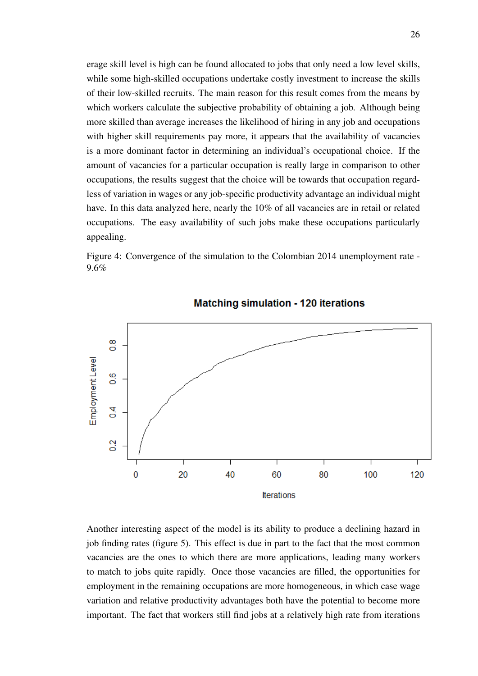erage skill level is high can be found allocated to jobs that only need a low level skills, while some high-skilled occupations undertake costly investment to increase the skills of their low-skilled recruits. The main reason for this result comes from the means by which workers calculate the subjective probability of obtaining a job. Although being more skilled than average increases the likelihood of hiring in any job and occupations with higher skill requirements pay more, it appears that the availability of vacancies is a more dominant factor in determining an individual's occupational choice. If the amount of vacancies for a particular occupation is really large in comparison to other occupations, the results suggest that the choice will be towards that occupation regardless of variation in wages or any job-specific productivity advantage an individual might have. In this data analyzed here, nearly the 10% of all vacancies are in retail or related occupations. The easy availability of such jobs make these occupations particularly appealing.

<span id="page-26-0"></span>



**Matching simulation - 120 iterations** 

Another interesting aspect of the model is its ability to produce a declining hazard in job finding rates (figure [5\)](#page-27-1). This effect is due in part to the fact that the most common vacancies are the ones to which there are more applications, leading many workers to match to jobs quite rapidly. Once those vacancies are filled, the opportunities for employment in the remaining occupations are more homogeneous, in which case wage variation and relative productivity advantages both have the potential to become more important. The fact that workers still find jobs at a relatively high rate from iterations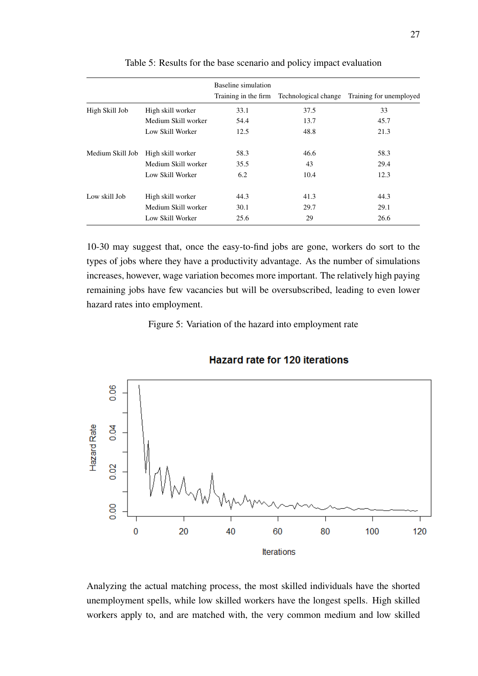<span id="page-27-0"></span>

|                  |                     | Baseline simulation | Training in the firm Technological change | Training for unemployed |
|------------------|---------------------|---------------------|-------------------------------------------|-------------------------|
| High Skill Job   | High skill worker   | 33.1                | 37.5                                      | 33                      |
|                  | Medium Skill worker | 54.4                | 13.7                                      | 45.7                    |
|                  | Low Skill Worker    | 12.5                | 48.8                                      | 21.3                    |
| Medium Skill Job | High skill worker   | 58.3                | 46.6                                      | 58.3                    |
|                  | Medium Skill worker | 35.5                | 43                                        | 29.4                    |
|                  | Low Skill Worker    | 6.2                 | 10.4                                      | 12.3                    |
| Low skill Job    | High skill worker   | 44.3                | 41.3                                      | 44.3                    |
|                  | Medium Skill worker | 30.1                | 29.7                                      | 29.1                    |
|                  | Low Skill Worker    | 25.6                | 29                                        | 26.6                    |

Table 5: Results for the base scenario and policy impact evaluation

10-30 may suggest that, once the easy-to-find jobs are gone, workers do sort to the types of jobs where they have a productivity advantage. As the number of simulations increases, however, wage variation becomes more important. The relatively high paying remaining jobs have few vacancies but will be oversubscribed, leading to even lower hazard rates into employment.

Figure 5: Variation of the hazard into employment rate

<span id="page-27-1"></span>

#### **Hazard rate for 120 iterations**

Analyzing the actual matching process, the most skilled individuals have the shorted unemployment spells, while low skilled workers have the longest spells. High skilled workers apply to, and are matched with, the very common medium and low skilled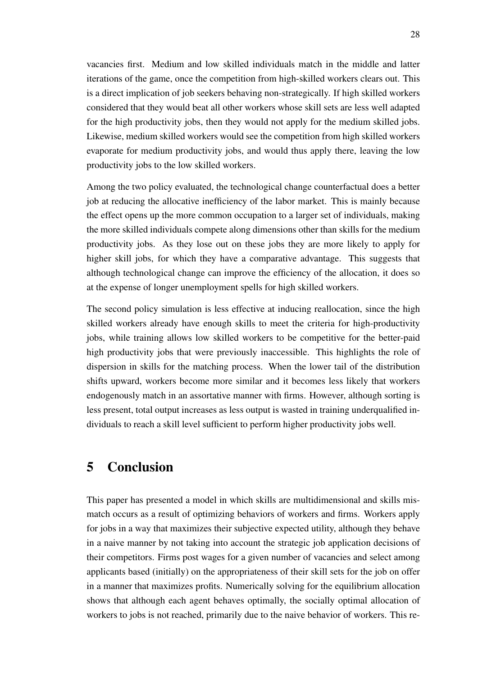vacancies first. Medium and low skilled individuals match in the middle and latter iterations of the game, once the competition from high-skilled workers clears out. This is a direct implication of job seekers behaving non-strategically. If high skilled workers considered that they would beat all other workers whose skill sets are less well adapted for the high productivity jobs, then they would not apply for the medium skilled jobs. Likewise, medium skilled workers would see the competition from high skilled workers evaporate for medium productivity jobs, and would thus apply there, leaving the low productivity jobs to the low skilled workers.

Among the two policy evaluated, the technological change counterfactual does a better job at reducing the allocative inefficiency of the labor market. This is mainly because the effect opens up the more common occupation to a larger set of individuals, making the more skilled individuals compete along dimensions other than skills for the medium productivity jobs. As they lose out on these jobs they are more likely to apply for higher skill jobs, for which they have a comparative advantage. This suggests that although technological change can improve the efficiency of the allocation, it does so at the expense of longer unemployment spells for high skilled workers.

The second policy simulation is less effective at inducing reallocation, since the high skilled workers already have enough skills to meet the criteria for high-productivity jobs, while training allows low skilled workers to be competitive for the better-paid high productivity jobs that were previously inaccessible. This highlights the role of dispersion in skills for the matching process. When the lower tail of the distribution shifts upward, workers become more similar and it becomes less likely that workers endogenously match in an assortative manner with firms. However, although sorting is less present, total output increases as less output is wasted in training underqualified individuals to reach a skill level sufficient to perform higher productivity jobs well.

### 5 Conclusion

This paper has presented a model in which skills are multidimensional and skills mismatch occurs as a result of optimizing behaviors of workers and firms. Workers apply for jobs in a way that maximizes their subjective expected utility, although they behave in a naive manner by not taking into account the strategic job application decisions of their competitors. Firms post wages for a given number of vacancies and select among applicants based (initially) on the appropriateness of their skill sets for the job on offer in a manner that maximizes profits. Numerically solving for the equilibrium allocation shows that although each agent behaves optimally, the socially optimal allocation of workers to jobs is not reached, primarily due to the naive behavior of workers. This re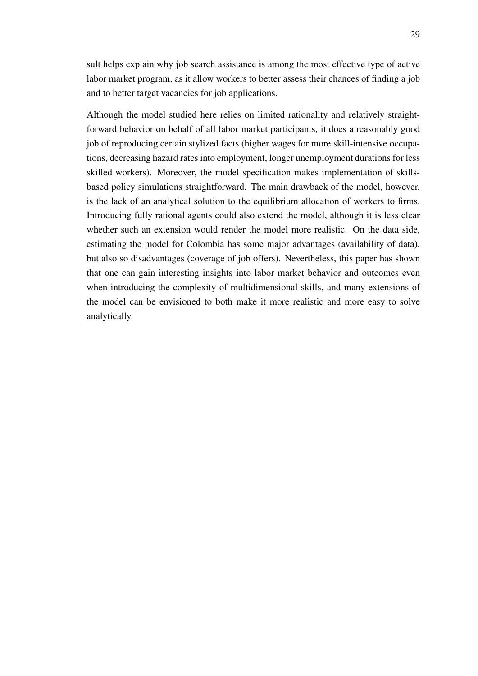sult helps explain why job search assistance is among the most effective type of active labor market program, as it allow workers to better assess their chances of finding a job and to better target vacancies for job applications.

Although the model studied here relies on limited rationality and relatively straightforward behavior on behalf of all labor market participants, it does a reasonably good job of reproducing certain stylized facts (higher wages for more skill-intensive occupations, decreasing hazard rates into employment, longer unemployment durations for less skilled workers). Moreover, the model specification makes implementation of skillsbased policy simulations straightforward. The main drawback of the model, however, is the lack of an analytical solution to the equilibrium allocation of workers to firms. Introducing fully rational agents could also extend the model, although it is less clear whether such an extension would render the model more realistic. On the data side, estimating the model for Colombia has some major advantages (availability of data), but also so disadvantages (coverage of job offers). Nevertheless, this paper has shown that one can gain interesting insights into labor market behavior and outcomes even when introducing the complexity of multidimensional skills, and many extensions of the model can be envisioned to both make it more realistic and more easy to solve analytically.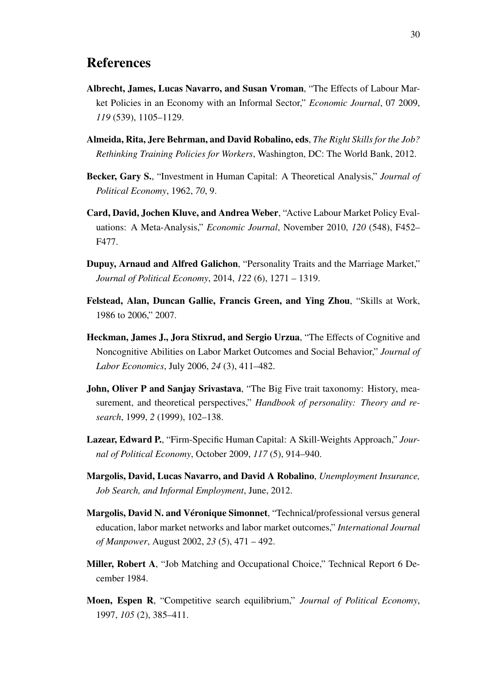### References

- <span id="page-30-5"></span>Albrecht, James, Lucas Navarro, and Susan Vroman, "The Effects of Labour Market Policies in an Economy with an Informal Sector," *Economic Journal*, 07 2009, *119* (539), 1105–1129.
- <span id="page-30-3"></span>Almeida, Rita, Jere Behrman, and David Robalino, eds, *The Right Skills for the Job? Rethinking Training Policies for Workers*, Washington, DC: The World Bank, 2012.
- <span id="page-30-7"></span>Becker, Gary S., "Investment in Human Capital: A Theoretical Analysis," *Journal of Political Economy*, 1962, *70*, 9.
- <span id="page-30-2"></span>Card, David, Jochen Kluve, and Andrea Weber, "Active Labour Market Policy Evaluations: A Meta-Analysis," *Economic Journal*, November 2010, *120* (548), F452– F477.
- <span id="page-30-1"></span>Dupuy, Arnaud and Alfred Galichon, "Personality Traits and the Marriage Market," *Journal of Political Economy*, 2014, *122* (6), 1271 – 1319.
- <span id="page-30-10"></span>Felstead, Alan, Duncan Gallie, Francis Green, and Ying Zhou, "Skills at Work, 1986 to 2006," 2007.
- <span id="page-30-11"></span>Heckman, James J., Jora Stixrud, and Sergio Urzua, "The Effects of Cognitive and Noncognitive Abilities on Labor Market Outcomes and Social Behavior," *Journal of Labor Economics*, July 2006, *24* (3), 411–482.
- <span id="page-30-12"></span>John, Oliver P and Sanjay Srivastava, "The Big Five trait taxonomy: History, measurement, and theoretical perspectives," *Handbook of personality: Theory and research*, 1999, *2* (1999), 102–138.
- <span id="page-30-0"></span>Lazear, Edward P., "Firm-Specific Human Capital: A Skill-Weights Approach," *Journal of Political Economy*, October 2009, *117* (5), 914–940.
- <span id="page-30-6"></span>Margolis, David, Lucas Navarro, and David A Robalino, *Unemployment Insurance, Job Search, and Informal Employment*, June, 2012.
- <span id="page-30-9"></span>Margolis, David N. and Véronique Simonnet, "Technical/professional versus general education, labor market networks and labor market outcomes," *International Journal of Manpower*, August 2002, *23* (5), 471 – 492.
- <span id="page-30-8"></span>Miller, Robert A, "Job Matching and Occupational Choice," Technical Report 6 December 1984.
- <span id="page-30-4"></span>Moen, Espen R, "Competitive search equilibrium," *Journal of Political Economy*, 1997, *105* (2), 385–411.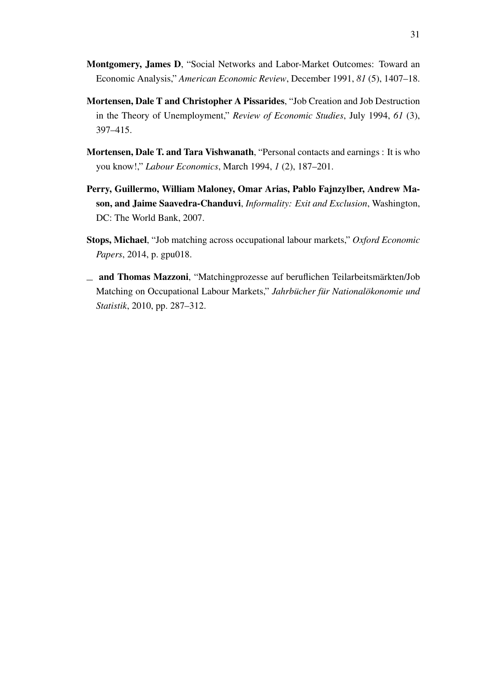- <span id="page-31-3"></span>Montgomery, James D, "Social Networks and Labor-Market Outcomes: Toward an Economic Analysis," *American Economic Review*, December 1991, *81* (5), 1407–18.
- <span id="page-31-0"></span>Mortensen, Dale T and Christopher A Pissarides, "Job Creation and Job Destruction in the Theory of Unemployment," *Review of Economic Studies*, July 1994, *61* (3), 397–415.
- <span id="page-31-4"></span>Mortensen, Dale T. and Tara Vishwanath, "Personal contacts and earnings : It is who you know!," *Labour Economics*, March 1994, *1* (2), 187–201.
- <span id="page-31-5"></span>Perry, Guillermo, William Maloney, Omar Arias, Pablo Fajnzylber, Andrew Mason, and Jaime Saavedra-Chanduvi, *Informality: Exit and Exclusion*, Washington, DC: The World Bank, 2007.
- <span id="page-31-2"></span>Stops, Michael, "Job matching across occupational labour markets," *Oxford Economic Papers*, 2014, p. gpu018.
- <span id="page-31-1"></span>and Thomas Mazzoni, "Matchingprozesse auf beruflichen Teilarbeitsmärkten/Job Matching on Occupational Labour Markets," *Jahrbücher für Nationalökonomie und Statistik*, 2010, pp. 287–312.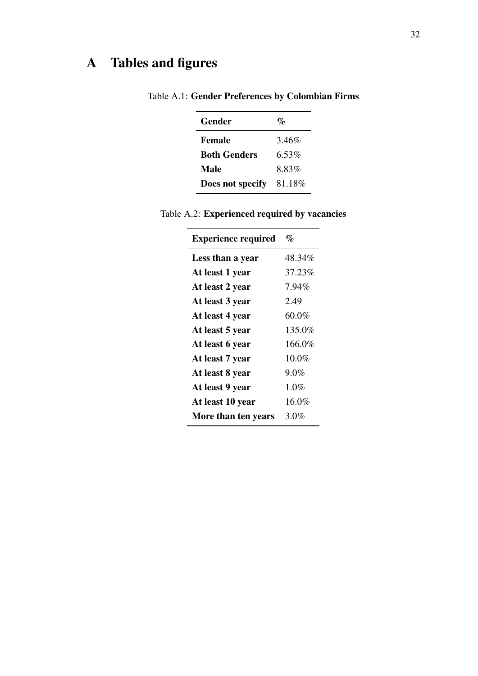## <span id="page-32-0"></span>A Tables and figures

| Gender              | $v_{\ell}$ |
|---------------------|------------|
| <b>Female</b>       | 3.46%      |
| <b>Both Genders</b> | 6.53%      |
| Male                | 8.83%      |
| Does not specify    | 81.18%     |

Table A.1: Gender Preferences by Colombian Firms

| <b>Experience required</b> | $\%$     |
|----------------------------|----------|
| Less than a year           | 48.34%   |
| At least 1 year            | 37.23%   |
| At least 2 year            | 7.94%    |
| At least 3 year            | 2.49     |
| At least 4 year            | $60.0\%$ |
| At least 5 year            | 135.0%   |
| At least 6 year            | 166.0%   |
| At least 7 year            | $10.0\%$ |
| At least 8 year            | $9.0\%$  |
| At least 9 year            | 1.0%     |
| At least 10 year           | 16.0%    |
| More than ten years        | $3.0\%$  |
|                            |          |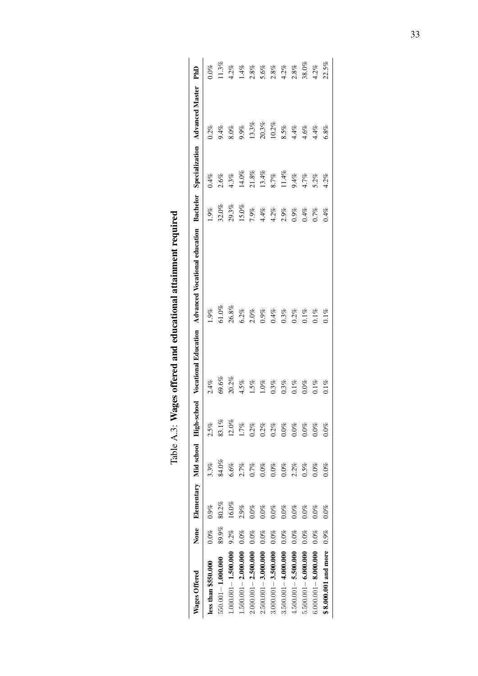<span id="page-33-0"></span>

| Wages Offered           |         |         |         |         |         | None Elementary Mid school High-school Vocational Education Advanced Vocational education Bachelor Specialization Advanced Master |                      |          |                              | PhD                            |
|-------------------------|---------|---------|---------|---------|---------|-----------------------------------------------------------------------------------------------------------------------------------|----------------------|----------|------------------------------|--------------------------------|
| less than \$550.000     | $0.0\%$ | $0.9\%$ | 3.3%    | 2.5%    | 2.4%    | 1.9%                                                                                                                              | $0.9\%$              | 0.4%     | $0.2\%$                      | $0.0\%$                        |
| 550.001-1.000.000       | 89.9%   | 80.2%   | 84.0%   | 83.1%   | 69.6%   | $51.0\%$ $26.8\%$                                                                                                                 | $32.0\%$             | 2.6%     | 9.4%<br>8.0%                 | 1.3%                           |
| $000.0001 - 1.500.000$  | 9.2%    | 16.0%   | 6.6%    | 12.0%   | 20.2%   |                                                                                                                                   | 29.3%                | 4.3%     |                              | $1.2\%$                        |
| $1.500.001 - 2.000.000$ | $0.0\%$ | 2.9%    | 2.7%    | 1.7%    | 4.5%    | 5.2%                                                                                                                              | 15.0%                | $14.0\%$ | 9.9%                         | 1.4%                           |
| $2.000.001 - 2.500.000$ | $0.0\%$ | 0.0%    | 0.7%    | 0.2%    | 1.5%    | $2.0\%$<br>$0.9\%$<br>$0.4\%$                                                                                                     | 7.9%                 | $21.8\%$ | 13.3%                        |                                |
| $2.500.001 - 3.000.000$ | $0.0\%$ | $0.0\%$ | 0.0%    | 0.2%    | $1.0\%$ |                                                                                                                                   | $4.4\%$              | 13.4%    | $20.3\%$                     |                                |
| $3.000.001 - 3.500.000$ | $0.0\%$ | 0.0%    | $0.0\%$ | 0.2%    | $0.3\%$ |                                                                                                                                   | $4.2\%$              | 8.7%     | 10.2%                        | $2.8%$<br>5.6%<br>5.8%<br>4.2% |
| $3.500.001 - 4.000.000$ | $0.0\%$ | 0.0%    | $0.0\%$ | $0.0\%$ | $0.3\%$ |                                                                                                                                   |                      | 11.4%    |                              |                                |
| $4.500.001 - 5.500.000$ | $0.0\%$ | 0.0%    | 2.2%    | $0.0\%$ | $0.1\%$ | $3.3\%$<br>$3.2\%$<br>$3.1\%$                                                                                                     | 2.9%<br>0.9%<br>0.4% | 9.4%     | 8.5%<br>4.4%<br>4.4%<br>6.8% |                                |
| $5.500.001 - 6.000.000$ | $0.0\%$ | $0.0\%$ | 0.5%    | $0.0\%$ | $0.0\%$ |                                                                                                                                   |                      | 4.7%     |                              | 38.0%                          |
| $6.000.001 - 8.000.000$ | $0.0\%$ | $0.0\%$ | $0.0\%$ | $0.0\%$ | $0.1\%$ | $0.1%$<br>$0.1%$                                                                                                                  | 0.7%                 | $5.2\%$  |                              | 4.2%                           |
| \$8.000.001 and more    | 0.9%    | $0.0\%$ | $0.0\%$ | $0.0\%$ | $0.1\%$ |                                                                                                                                   | $0.4\%$              | 4.2%     |                              | 22.5%                          |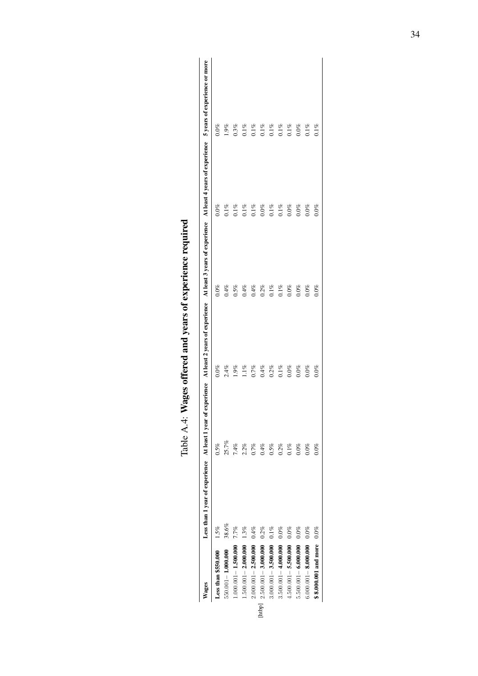|        | Vages                        | Less than 1 year of experience At least 1 year of experience At least 2 years of experience At least 4 years of experience 5 years of experience or more |         |                                                      |         |                    |                    |
|--------|------------------------------|----------------------------------------------------------------------------------------------------------------------------------------------------------|---------|------------------------------------------------------|---------|--------------------|--------------------|
|        | Less than \$550.000          | $1.5\%$                                                                                                                                                  | 0.5%    | $0.0\%$                                              | $0.0\%$ | $0.0\%$            | $0\%$              |
|        | $550.001 - 1.000.000$        | 38.6%                                                                                                                                                    | 25.7%   | $2.4\%$<br>1.9%                                      | 0.4%    | $0.1\%$<br>$0.1\%$ | 1.9%               |
|        | $1.000.001 - 1.500.000$      | 7.7%                                                                                                                                                     | 7.4%    |                                                      | $0.5\%$ |                    | 0.3%               |
|        | $1.500.001 - 2.000.000$ 1.3% |                                                                                                                                                          | 2.2%    | $1.1\%$                                              | 0.4%    | $0.1\%$            | $0.1\%$            |
|        | $2.000.001 - 2.500.000 0.4%$ |                                                                                                                                                          | 0.7%    | 0.7%                                                 | 0.4%    | $0.1\%$            | $0.1\%$            |
| [htbp] | $2.500.001 - 3.000.000$      | 0.2%                                                                                                                                                     | 0.4%    | $0.4\%$<br>$0.2\%$                                   | $0.2\%$ | $0.0\%$            | $0.1\%$<br>$0.1\%$ |
|        | $3.000.001 - 3.500.000$      | $0.1\%$                                                                                                                                                  | $0.5\%$ |                                                      | $0.1\%$ | $0.1\%$            |                    |
|        | $3.500.001 - 4.000.000$      | $0.0\%$                                                                                                                                                  | 0.2%    | $\begin{array}{c} 0.1\% \ 0.0\% \ 0.0\% \end{array}$ | $0.1\%$ | $0.1\%$            | $0.1\%$<br>$0.1\%$ |
|        | $4.500.001 - 5.500.000$      | $0.0\%$                                                                                                                                                  | $0.1\%$ |                                                      | $0.0\%$ | $0.0\%$            |                    |
|        | $5.500.001 - 6.000.000$      | $0.0\%$                                                                                                                                                  | $0.0\%$ |                                                      | $0.0\%$ | $0.0\%$            | $0.0\%$            |
|        | 6.000.001 - 8.000.000 0.0%   |                                                                                                                                                          | $0.0\%$ | $0.0\%$                                              | $0.0\%$ | $0.0\%$            | $0.1\%$            |
|        | \$8.000.001 and more         | $0.0\%$                                                                                                                                                  | $0.0\%$ | $0.0\%$                                              | $0.0\%$ | $0.0\%$            | 0.1%               |

| t                                |
|----------------------------------|
| <b>THIRD CAR COMPANY CONTROL</b> |
| ĺ<br>ļ<br>j                      |
| d<br>.<br>ו<br>ו<br>l            |
| י<br>י<br>န့်<br>١               |
| י ה ה ה ה - י<br>)<br>i          |
| ı<br>ĺ                           |